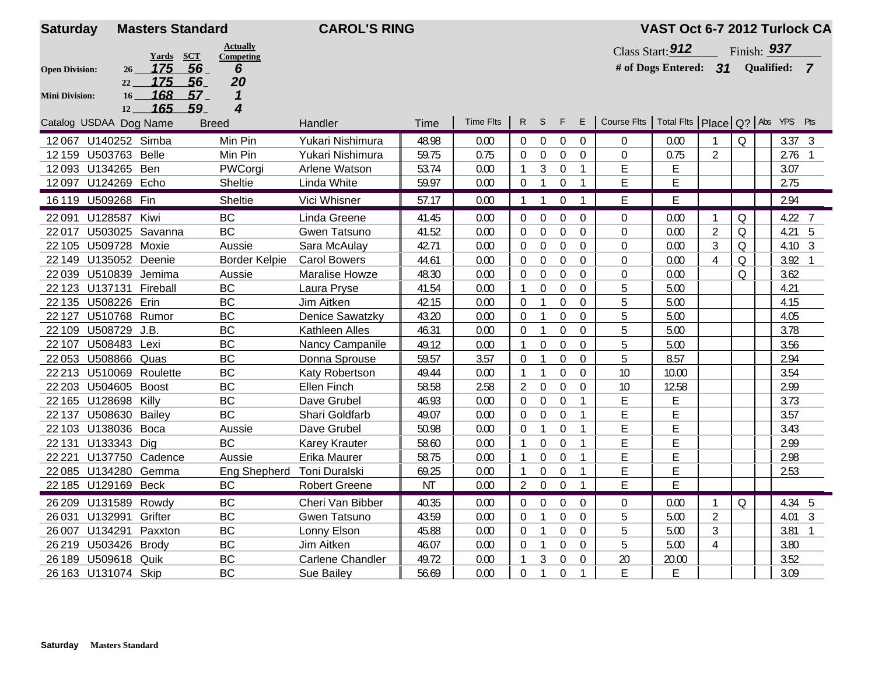| <b>Saturday</b>        | <b>Masters Standard</b>         |                              | <b>CAROL'S RING</b>     |           |                  |                  |                  |                  |                  |                                                     | VAST Oct 6-7 2012 Turlock CA |                |               |            |                        |                |
|------------------------|---------------------------------|------------------------------|-------------------------|-----------|------------------|------------------|------------------|------------------|------------------|-----------------------------------------------------|------------------------------|----------------|---------------|------------|------------------------|----------------|
|                        | SCT                             | <b>Actually</b><br>Competing |                         |           |                  |                  |                  |                  |                  |                                                     | Class Start: 912             |                | Finish: $937$ |            |                        |                |
| <b>Open Division:</b>  | <b>Yards</b><br>56<br>175<br>26 | 6                            |                         |           |                  |                  |                  |                  |                  |                                                     | # of Dogs Entered: $31$      |                |               | Qualified: |                        | $\overline{7}$ |
|                        | 175<br>56<br>22                 | 20                           |                         |           |                  |                  |                  |                  |                  |                                                     |                              |                |               |            |                        |                |
| <b>Mini Division:</b>  | 168<br>57<br>16                 | 1                            |                         |           |                  |                  |                  |                  |                  |                                                     |                              |                |               |            |                        |                |
|                        | 165<br>59<br>12 <sup>12</sup>   | 4                            |                         |           | <b>Time Flts</b> | R S F            |                  |                  | E                |                                                     |                              |                |               |            |                        |                |
| Catalog USDAA Dog Name |                                 | <b>Breed</b>                 | Handler                 | Time      |                  |                  |                  |                  |                  | Course Flts   Total Flts   Place   Q?   Abs YPS Pts |                              |                |               |            |                        |                |
| 12067 U140252 Simba    |                                 | Min Pin                      | Yukari Nishimura        | 48.98     | 0.00             | $\theta$         | $\overline{0}$   | $\mathbf{0}$     | 0                | 0                                                   | 0.00                         |                | Q             |            | 3.37 <sup>3</sup>      |                |
| 12 159 U503763 Belle   |                                 | Min Pin                      | Yukari Nishimura        | 59.75     | 0.75             | $\Omega$         | $\Omega$         | $\Omega$         | $\mathbf 0$      | 0                                                   | 0.75                         | $\overline{2}$ |               |            | 2.76<br>$\overline{1}$ |                |
| 12093 U134265 Ben      |                                 | PWCorgi                      | Arlene Watson           | 53.74     | 0.00             | -1               | 3                | $\theta$         |                  | E                                                   | E                            |                |               |            | 3.07                   |                |
| 12097 U124269 Echo     |                                 | Sheltie                      | Linda White             | 59.97     | 0.00             | $\mathbf 0$      | $\mathbf{1}$     | $\overline{0}$   | $\mathbf{1}$     | E                                                   | E                            |                |               |            | 2.75                   |                |
| 16 119 U509268 Fin     |                                 | Sheltie                      | Vici Whisner            | 57.17     | 0.00             | $\mathbf{1}$     | $\mathbf{1}$     | $\Omega$         |                  | F                                                   | E                            |                |               |            | 2.94                   |                |
| 22091                  | U128587 Kiwi                    | <b>BC</b>                    | Linda Greene            | 41.45     | 0.00             | $\mathbf 0$      | $\mathbf 0$      | 0                | $\mathbf 0$      | 0                                                   | 0.00                         | -1             | Q             |            | 4.22                   | 7              |
| 22017                  | U503025 Savanna                 | <b>BC</b>                    | Gwen Tatsuno            | 41.52     | 0.00             | $\Omega$         | 0                | $\Omega$         | 0                | 0                                                   | 0.00                         | $\overline{2}$ | Q             |            | 4.21                   | 5              |
| 22 105 U509728 Moxie   |                                 | Aussie                       | Sara McAulay            | 42.71     | 0.00             | $\theta$         | $\boldsymbol{0}$ | $\boldsymbol{0}$ | $\boldsymbol{0}$ | $\boldsymbol{0}$                                    | 0.00                         | 3              | Q             |            | $4.10 \quad 3$         |                |
| 22 149 U135052 Deenie  |                                 | <b>Border Kelpie</b>         | <b>Carol Bowers</b>     | 44.61     | 0.00             | $\mathbf 0$      | 0                | $\Omega$         | $\boldsymbol{0}$ | 0                                                   | 0.00                         | $\overline{A}$ | Q             |            | 3.92                   |                |
| 22 039 U510839         | Jemima                          | Aussie                       | Maralise Howze          | 48.30     | 0.00             | $\mathbf 0$      | $\mathbf 0$      | $\Omega$         | $\mathbf 0$      | $\mathbf 0$                                         | 0.00                         |                | Q             |            | 3.62                   |                |
| 22 123 U137131         | Fireball                        | <b>BC</b>                    | Laura Pryse             | 41.54     | 0.00             | $\mathbf{1}$     | $\mathbf 0$      | $\mathbf 0$      | $\mathbf 0$      | 5                                                   | 5.00                         |                |               |            | 4.21                   |                |
| 22 135 U508226 Erin    |                                 | <b>BC</b>                    | Jim Aitken              | 42.15     | 0.00             | $\mathbf 0$      | $\mathbf{1}$     | $\mathbf 0$      | $\mathbf{0}$     | 5                                                   | 5.00                         |                |               |            | 4.15                   |                |
| 22 127 U510768 Rumor   |                                 | <b>BC</b>                    | Denice Sawatzky         | 43.20     | 0.00             | $\mathbf 0$      | 1                | $\mathbf{0}$     | $\mathbf 0$      | 5                                                   | 5.00                         |                |               |            | 4.05                   |                |
| 22 109 U508729 J.B.    |                                 | <b>BC</b>                    | Kathleen Alles          | 46.31     | 0.00             | $\overline{0}$   | $\mathbf{1}$     | $\mathbf 0$      | $\overline{0}$   | 5                                                   | 5.00                         |                |               |            | 3.78                   |                |
| 22 107 U508483 Lexi    |                                 | <b>BC</b>                    | Nancy Campanile         | 49.12     | 0.00             | 1                | $\overline{0}$   | $\mathbf{0}$     | $\overline{0}$   | 5                                                   | 5.00                         |                |               |            | 3.56                   |                |
| 22 053 U508866 Quas    |                                 | <b>BC</b>                    | Donna Sprouse           | 59.57     | 3.57             | $\Omega$         | $\mathbf{1}$     | $\Omega$         | $\Omega$         | 5                                                   | 8.57                         |                |               |            | 2.94                   |                |
|                        | 22 213 U510069 Roulette         | <b>BC</b>                    | Katy Robertson          | 49.44     | 0.00             | 1                | $\mathbf{1}$     | $\Omega$         | $\overline{0}$   | 10                                                  | 10.00                        |                |               |            | 3.54                   |                |
| 22 203 U504605 Boost   |                                 | <b>BC</b>                    | Ellen Finch             | 58.58     | 2.58             | $\overline{2}$   | $\mathbf 0$      | $\mathbf{0}$     | $\mathbf{0}$     | 10                                                  | 12.58                        |                |               |            | 2.99                   |                |
| 22 165 U128698 Killy   |                                 | <b>BC</b>                    | Dave Grubel             | 46.93     | 0.00             | 0                | $\mathbf 0$      | $\mathbf 0$      | 1                | E                                                   | F                            |                |               |            | 3.73                   |                |
| 22 137 U508630         | Bailey                          | <b>BC</b>                    | Shari Goldfarb          | 49.07     | 0.00             | $\Omega$         | $\overline{0}$   | $\Omega$         | $\mathbf{1}$     | E                                                   | E                            |                |               |            | 3.57                   |                |
| 22 103 U138036 Boca    |                                 | Aussie                       | Dave Grubel             | 50.98     | 0.00             | 0                | $\mathbf{1}$     | 0                | 1                | E                                                   | Е                            |                |               |            | 3.43                   |                |
| 22 131 U133343 Dig     |                                 | <b>BC</b>                    | <b>Karey Krauter</b>    | 58.60     | 0.00             | $\mathbf{1}$     | $\Omega$         | $\Omega$         | $\mathbf{1}$     | E                                                   | E                            |                |               |            | 2.99                   |                |
| 22 2 2 1               | U137750 Cadence                 | Aussie                       | Erika Maurer            | 58.75     | 0.00             | 1                | $\theta$         | $\Omega$         | $\mathbf{1}$     | E                                                   | E                            |                |               |            | 2.98                   |                |
|                        | 22 085 U134280 Gemma            | Eng Shepherd                 | Toni Duralski           | 69.25     | 0.00             | $\mathbf{1}$     | 0                | 0                | $\mathbf{1}$     | E                                                   | E                            |                |               |            | 2.53                   |                |
| 22 185 U129169 Beck    |                                 | BC                           | <b>Robert Greene</b>    | <b>NT</b> | 0.00             | $\overline{2}$   | $\boldsymbol{0}$ | $\mathbf 0$      |                  | E                                                   | E                            |                |               |            |                        |                |
| 26 209 U131589 Rowdy   |                                 | BC                           | Cheri Van Bibber        | 40.35     | 0.00             | $\boldsymbol{0}$ | $\mathbf 0$      | $\overline{0}$   | $\overline{0}$   | 0                                                   | 0.00                         |                | Q             |            | 4.34                   | 5              |
| 26031<br>U132991       | Grifter                         | BC                           | Gwen Tatsuno            | 43.59     | 0.00             | $\mathbf 0$      | $\mathbf{1}$     | $\mathbf 0$      | 0                | 5                                                   | 5.00                         | $\overline{2}$ |               |            | 4.01<br>$\overline{3}$ |                |
| 26 007<br>U134291      | Paxxton                         | <b>BC</b>                    | Lonny Elson             | 45.88     | 0.00             | $\mathbf 0$      | $\mathbf{1}$     | 0                | $\boldsymbol{0}$ | 5                                                   | 5.00                         | 3              |               |            | 3.81                   |                |
| 26 219 U503426 Brody   |                                 | <b>BC</b>                    | Jim Aitken              | 46.07     | 0.00             | $\mathbf 0$      | $\mathbf{1}$     | $\overline{0}$   | $\mathbf 0$      | 5                                                   | 5.00                         | $\overline{4}$ |               |            | 3.80                   |                |
| 26 189 U509618 Quik    |                                 | <b>BC</b>                    | <b>Carlene Chandler</b> | 49.72     | 0.00             | 1                | 3                | $\overline{0}$   | $\boldsymbol{0}$ | 20                                                  | 20.00                        |                |               |            | 3.52                   |                |
| 26 163 U131074 Skip    |                                 | <b>BC</b>                    | Sue Bailey              | 56.69     | 0.00             | 0                | $\mathbf{1}$     | $\overline{0}$   | $\mathbf{1}$     | E                                                   | Ε                            |                |               |            | 3.09                   |                |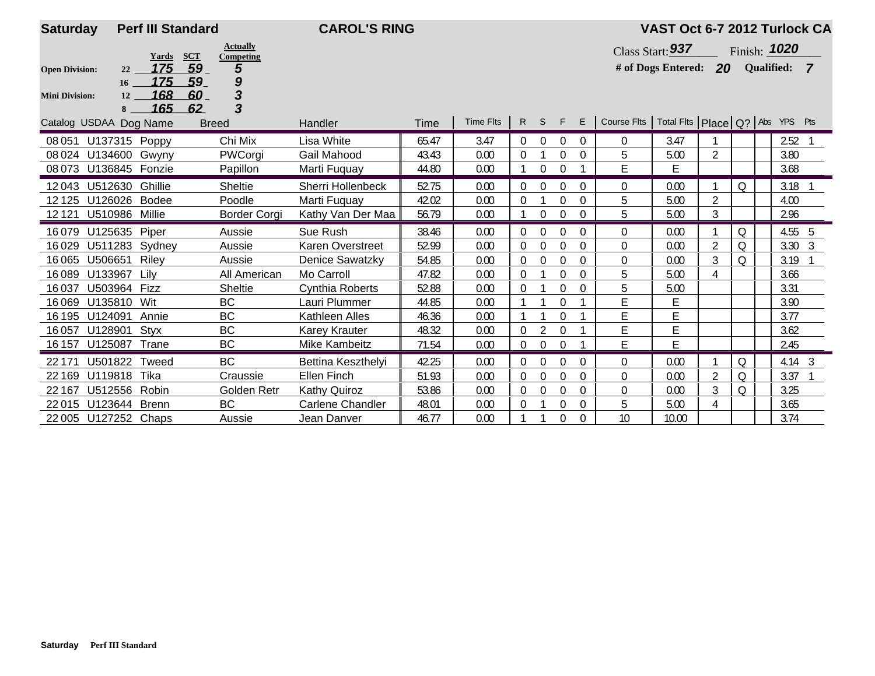| <b>Saturday</b>        | <b>Perf III Standard</b>            |                                            | <b>CAROL'S RING</b>     |       |           |                  |                  |             |                |                                                     | VAST Oct 6-7 2012 Turlock CA       |                |   |                |  |
|------------------------|-------------------------------------|--------------------------------------------|-------------------------|-------|-----------|------------------|------------------|-------------|----------------|-----------------------------------------------------|------------------------------------|----------------|---|----------------|--|
|                        | Yards                               | <b>Actually</b><br><b>SCT</b><br>Competing |                         |       |           |                  |                  |             |                |                                                     | Class Start: $937$                 |                |   | Finish: 1020   |  |
| <b>Open Division:</b>  | 175<br>22                           | 59<br>5                                    |                         |       |           |                  |                  |             |                |                                                     | # of Dogs Entered: 20 Qualified: 7 |                |   |                |  |
| <b>Mini Division:</b>  | 175<br>16 <sup>1</sup><br>168<br>12 | 9<br>59<br>3<br>60                         |                         |       |           |                  |                  |             |                |                                                     |                                    |                |   |                |  |
|                        | 165<br>8                            | 3<br>62                                    |                         |       |           |                  |                  |             |                |                                                     |                                    |                |   |                |  |
| Catalog USDAA Dog Name |                                     | <b>Breed</b>                               | Handler                 | Time  | Time Flts | R                | S                | F           | E              | Course Fits   Total Fits   Place   Q?   Abs YPS Pts |                                    |                |   |                |  |
| 08 051                 | U137315 Poppy                       | Chi Mix                                    | Lisa White              | 65.47 | 3.47      | $\Omega$         | $\theta$         | $\Omega$    | $\Omega$       | $\mathbf{0}$                                        | 3.47                               |                |   | 2.52           |  |
| 08 024 U134600 Gwyny   |                                     | PWCorgi                                    | Gail Mahood             | 43.43 | 0.00      | $\Omega$         |                  | $\theta$    | $\theta$       | 5                                                   | 5.00                               | $\overline{2}$ |   | 3.80           |  |
| 08 073 U136845 Fonzie  |                                     | Papillon                                   | Marti Fuquay            | 44.80 | 0.00      |                  | $\theta$         | $\theta$    |                | E                                                   | E                                  |                |   | 3.68           |  |
| U512630<br>12043       | Ghillie                             | Sheltie                                    | Sherri Hollenbeck       | 52.75 | 0.00      | $\Omega$         | $\theta$         | $\Omega$    | $\Omega$       | $\Omega$                                            | 0.00                               |                | Q | 3.18           |  |
| 12 125 U126026 Bodee   |                                     | Poodle                                     | Marti Fuguay            | 42.02 | 0.00      | $\Omega$         |                  | 0           | 0              | 5                                                   | 5.00                               | 2              |   | 4.00           |  |
| 12121                  | U510986 Millie                      | Border Corgi                               | Kathy Van Der Maa       | 56.79 | 0.00      |                  | $\theta$         | $\theta$    | $\theta$       | 5                                                   | 5.00                               | 3              |   | 2.96           |  |
| 16079                  | U125635 Piper                       | Aussie                                     | Sue Rush                | 38.46 | 0.00      | $\Omega$         | $\Omega$         | $\Omega$    | $\Omega$       | $\Omega$                                            | 0.00                               |                | Q | 4.55 5         |  |
| 16029                  | U511283<br>Sydney                   | Aussie                                     | Karen Overstreet        | 52.99 | 0.00      | $\overline{0}$   | $\mathbf 0$      | $\theta$    | $\theta$       | $\Omega$                                            | 0.00                               | $\overline{2}$ | Q | $3.30 \quad 3$ |  |
| U506651<br>16065       | Riley                               | Aussie                                     | Denice Sawatzky         | 54.85 | 0.00      | $\Omega$         | $\theta$         | $\theta$    | $\theta$       | $\mathbf 0$                                         | 0.00                               | $\mathfrak{Z}$ | Q | 3.19           |  |
| 16089<br>U133967       | Lilv                                | All American                               | Mo Carroll              | 47.82 | 0.00      | $\theta$         |                  | $\Omega$    | $\Omega$       | 5                                                   | 5.00                               | 4              |   | 3.66           |  |
| 16037                  | U503964 Fizz                        | <b>Sheltie</b>                             | Cynthia Roberts         | 52.88 | 0.00      | $\Omega$         |                  | $\theta$    | $\theta$       | 5                                                   | 5.00                               |                |   | 3.31           |  |
| 16069<br>U135810       | Wit                                 | <b>BC</b>                                  | Lauri Plummer           | 44.85 | 0.00      |                  |                  | $\Omega$    |                | E                                                   | Е                                  |                |   | 3.90           |  |
| 16 195<br>U124091      | Annie                               | <b>BC</b>                                  | Kathleen Alles          | 46.36 | 0.00      |                  |                  | $\Omega$    |                | E                                                   | E                                  |                |   | 3.77           |  |
| U128901<br>16057       | Styx                                | BC                                         | <b>Karey Krauter</b>    | 48.32 | 0.00      | $\Omega$         |                  | $\Omega$    |                | E                                                   | Ē                                  |                |   | 3.62           |  |
| U125087<br>16 157      | Trane                               | BC                                         | Mike Kambeitz           | 71.54 | 0.00      | $\boldsymbol{0}$ | $\overline{0}$   | $\Omega$    |                | E                                                   | E                                  |                |   | 2.45           |  |
| 22 171                 | Tweed<br>U501822                    | <b>BC</b>                                  | Bettina Keszthelyi      | 42.25 | 0.00      | $\Omega$         | $\Omega$         | $\theta$    | $\theta$       | $\mathbf 0$                                         | 0.00                               |                | Q | $4.14 \quad 3$ |  |
| U119818<br>22 169      | Tika                                | Craussie                                   | Ellen Finch             | 51.93 | 0.00      | $\overline{0}$   | $\boldsymbol{0}$ | $\theta$    | $\theta$       | $\Omega$                                            | 0.00                               | $\overline{2}$ | Q | 3.37           |  |
| U512556<br>22 167      | Robin                               | Golden Retr                                | <b>Kathy Quiroz</b>     | 53.86 | 0.00      | $\overline{0}$   | $\boldsymbol{0}$ | $\Omega$    | 0              | $\mathbf 0$                                         | 0.00                               | 3              | Q | 3.25           |  |
| 22015                  | U123644 Brenn                       | <b>BC</b>                                  | <b>Carlene Chandler</b> | 48.01 | 0.00      | $\Omega$         |                  | $\Omega$    | $\theta$       | 5                                                   | 5.00                               | 4              |   | 3.65           |  |
| 22 005 U127252 Chaps   |                                     | Aussie                                     | Jean Danver             | 46.77 | 0.00      |                  |                  | $\mathbf 0$ | $\overline{0}$ | 10                                                  | 10.00                              |                |   | 3.74           |  |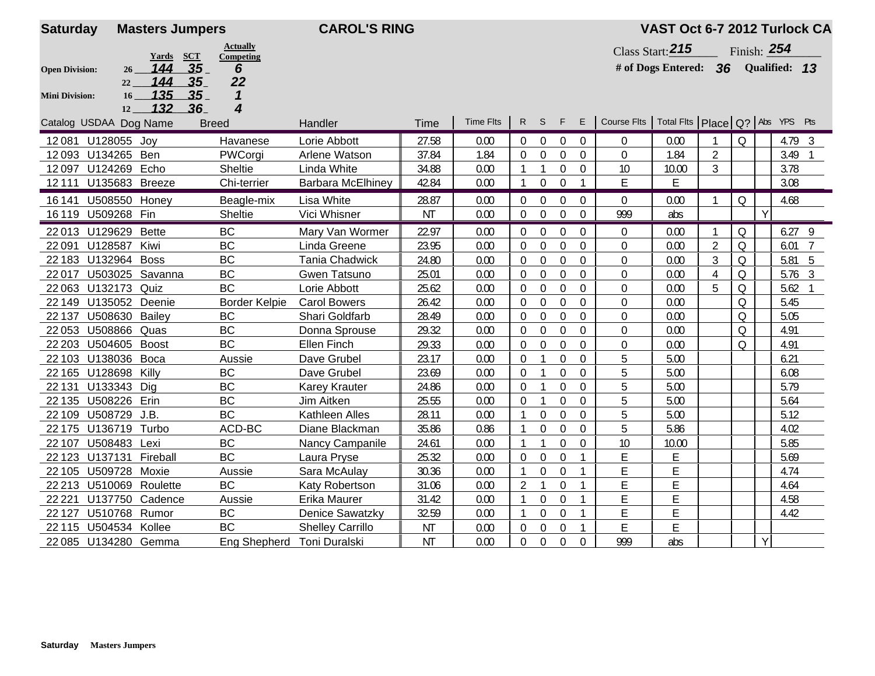| <b>Saturday</b>       |                         | <b>Masters Jumpers</b>              |                            | <b>CAROL'S RING</b>     |           |                  |                  |                  |                  |                  |                                                     | VAST Oct 6-7 2012 Turlock CA |                |              |              |                |                 |
|-----------------------|-------------------------|-------------------------------------|----------------------------|-------------------------|-----------|------------------|------------------|------------------|------------------|------------------|-----------------------------------------------------|------------------------------|----------------|--------------|--------------|----------------|-----------------|
|                       |                         |                                     | <b>Actually</b>            |                         |           |                  |                  |                  |                  |                  |                                                     | Class Start: 215             |                | Finish: 254  |              |                |                 |
| <b>Open Division:</b> | 26 <sup>2</sup>         | Yards SCT<br>35 <sub>1</sub><br>144 | Competing<br>6             |                         |           |                  |                  |                  |                  |                  |                                                     | # of Dogs Entered: 36        |                |              |              | Qualified: 13  |                 |
|                       | 22                      | 144<br>35                           | 22                         |                         |           |                  |                  |                  |                  |                  |                                                     |                              |                |              |              |                |                 |
| <b>Mini Division:</b> | 16                      | 135<br>35                           | $\boldsymbol{\mathcal{L}}$ |                         |           |                  |                  |                  |                  |                  |                                                     |                              |                |              |              |                |                 |
|                       | 12                      | 132<br>36                           | 4                          |                         |           |                  |                  |                  |                  |                  |                                                     |                              |                |              |              |                |                 |
|                       | Catalog USDAA Dog Name  |                                     | <b>Breed</b>               | Handler                 | Time      | <b>Time Flts</b> |                  | R S              | F                | E                | Course Fits   Total Fits   Place   Q?   Abs YPS Pts |                              |                |              |              |                |                 |
| 12081                 | U128055 Joy             |                                     | Havanese                   | Lorie Abbott            | 27.58     | 0.00             | $\overline{0}$   | $\overline{0}$   | $\mathbf{0}$     | $\mathbf{0}$     | $\overline{0}$                                      | 0.00                         |                | $\Omega$     |              | $4.79$ 3       |                 |
|                       | 12093 U134265 Ben       |                                     | PWCorgi                    | Arlene Watson           | 37.84     | 1.84             | 0                | $\overline{0}$   | $\Omega$         | $\Omega$         | $\mathbf 0$                                         | 1.84                         | $\overline{2}$ |              |              | 3.49           |                 |
| 12097                 | U124269 Echo            |                                     | Sheltie                    | Linda White             | 34.88     | 0.00             |                  | 1                | $\mathbf 0$      | $\mathbf{0}$     | 10                                                  | 10.00                        | 3              |              |              | 3.78           |                 |
| 12111                 | U135683 Breeze          |                                     | Chi-terrier                | Barbara McElhiney       | 42.84     | 0.00             | $\mathbf{1}$     | $\mathbf 0$      | $\overline{0}$   |                  | E                                                   | E                            |                |              |              | 3.08           |                 |
| 16 14 1               | U508550 Honey           |                                     | Beagle-mix                 | Lisa White              | 28.87     | 0.00             | $\boldsymbol{0}$ | $\boldsymbol{0}$ | 0                | $\mathbf 0$      | $\overline{0}$                                      | 0.00                         |                | Q            |              | 4.68           |                 |
|                       | 16 119 U509268 Fin      |                                     | Sheltie                    | Vici Whisner            | <b>NT</b> | 0.00             | $\overline{0}$   | $\boldsymbol{0}$ | $\mathbf 0$      | $\mathbf 0$      | 999                                                 | abs                          |                |              | $\mathsf{Y}$ |                |                 |
|                       | 22 013 U129629 Bette    |                                     | <b>BC</b>                  | Mary Van Wormer         | 22.97     | 0.00             | $\Omega$         | $\overline{0}$   | $\boldsymbol{0}$ | $\Omega$         | $\overline{0}$                                      | 0.00                         |                | $\Omega$     |              | $6.27$ 9       |                 |
| 22091                 | U128587 Kiwi            |                                     | <b>BC</b>                  | Linda Greene            | 23.95     | 0.00             | 0                | $\mathbf 0$      | $\Omega$         | $\overline{0}$   | $\mathbf 0$                                         | 0.00                         | $\overline{2}$ | $\Omega$     |              | 6.01           | $\overline{7}$  |
|                       | 22 183 U132964 Boss     |                                     | <b>BC</b>                  | <b>Tania Chadwick</b>   | 24.80     | 0.00             | 0                | $\boldsymbol{0}$ | $\mathbf 0$      | $\mathbf 0$      | $\mathbf 0$                                         | 0.00                         | 3              | $\mathsf{Q}$ |              | 5.81           | $5\overline{5}$ |
| 22017                 | U503025 Savanna         |                                     | <b>BC</b>                  | Gwen Tatsuno            | 25.01     | 0.00             | $\boldsymbol{0}$ | $\boldsymbol{0}$ | $\boldsymbol{0}$ | $\boldsymbol{0}$ | $\mathbf 0$                                         | 0.00                         | $\overline{4}$ | $\mathsf O$  |              | $5.76$ 3       |                 |
| 22063                 | U132173                 | Quiz                                | <b>BC</b>                  | Lorie Abbott            | 25.62     | 0.00             | $\boldsymbol{0}$ | $\boldsymbol{0}$ | $\mathbf 0$      | $\mathbf 0$      | $\boldsymbol{0}$                                    | 0.00                         | 5              | $\mathsf O$  |              | $5.62 \quad 1$ |                 |
| 22 149                | U135052                 | Deenie                              | <b>Border Kelpie</b>       | <b>Carol Bowers</b>     | 26.42     | 0.00             | $\boldsymbol{0}$ | $\boldsymbol{0}$ | $\theta$         | $\mathbf 0$      | $\mathbf 0$                                         | 0.00                         |                | $\Omega$     |              | 5.45           |                 |
| 22 137                | <b>U508630 Bailey</b>   |                                     | <b>BC</b>                  | Shari Goldfarb          | 28.49     | 0.00             | $\Omega$         | $\boldsymbol{0}$ | $\theta$         | $\Omega$         | 0                                                   | 0.00                         |                | $\Omega$     |              | 5.05           |                 |
| 22053                 | U508866                 | Quas                                | <b>BC</b>                  | Donna Sprouse           | 29.32     | 0.00             | 0                | $\boldsymbol{0}$ | $\mathbf 0$      | $\mathbf 0$      | 0                                                   | 0.00                         |                | $\Omega$     |              | 4.91           |                 |
| 22 203                | U504605                 | <b>Boost</b>                        | <b>BC</b>                  | Ellen Finch             | 29.33     | 0.00             | $\theta$         | $\mathbf 0$      | $\Omega$         | $\overline{0}$   | $\boldsymbol{0}$                                    | 0.00                         |                | $\Omega$     |              | 4.91           |                 |
| 22 103                | U138036                 | Boca                                | Aussie                     | Dave Grubel             | 23.17     | 0.00             | $\boldsymbol{0}$ | $\mathbf{1}$     | 0                | $\mathbf 0$      | 5                                                   | 5.00                         |                |              |              | 6.21           |                 |
| 22 165                | U128698                 | Killy                               | <b>BC</b>                  | Dave Grubel             | 23.69     | 0.00             | $\boldsymbol{0}$ | $\mathbf{1}$     | $\mathbf 0$      | $\mathbf 0$      | 5                                                   | 5.00                         |                |              |              | 6.08           |                 |
| 22 131                | U133343                 | Dig                                 | <b>BC</b>                  | <b>Karey Krauter</b>    | 24.86     | 0.00             | $\overline{0}$   | $\mathbf{1}$     | $\mathbf 0$      | $\mathbf 0$      | 5                                                   | 5.00                         |                |              |              | 5.79           |                 |
| 22 1 35               | U508226 Erin            |                                     | <b>BC</b>                  | Jim Aitken              | 25.55     | 0.00             | $\overline{0}$   | $\mathbf{1}$     | $\mathbf 0$      | $\mathbf 0$      | 5                                                   | 5.00                         |                |              |              | 5.64           |                 |
| 22 109                | U508729 J.B.            |                                     | <b>BC</b>                  | Kathleen Alles          | 28.11     | 0.00             | -1               | $\boldsymbol{0}$ | $\mathbf 0$      | $\mathbf 0$      | 5                                                   | 5.00                         |                |              |              | 5.12           |                 |
| 22 175                | U136719                 | Turbo                               | ACD-BC                     | Diane Blackman          | 35.86     | 0.86             |                  | $\mathbf 0$      | $\Omega$         | $\mathbf 0$      | 5                                                   | 5.86                         |                |              |              | 4.02           |                 |
| 22 107                | U508483 Lexi            |                                     | BC                         | Nancy Campanile         | 24.61     | 0.00             |                  |                  | $\mathbf 0$      | $\boldsymbol{0}$ | 10                                                  | 10.00                        |                |              |              | 5.85           |                 |
| 22 1 23               | U137131 Fireball        |                                     | <b>BC</b>                  | Laura Pryse             | 25.32     | 0.00             | $\overline{0}$   | $\boldsymbol{0}$ | $\mathbf 0$      |                  | E                                                   | E                            |                |              |              | 5.69           |                 |
|                       | 22 105 U509728 Moxie    |                                     | Aussie                     | Sara McAulay            | 30.36     | 0.00             | -1               | $\mathbf 0$      | $\mathbf 0$      | 1                | E                                                   | E                            |                |              |              | 4.74           |                 |
|                       | 22 213 U510069 Roulette |                                     | <b>BC</b>                  | Katy Robertson          | 31.06     | 0.00             | $\overline{2}$   | $\mathbf{1}$     | $\mathbf 0$      |                  | E                                                   | E                            |                |              |              | 4.64           |                 |
| 22 2 2 1              | U137750                 | Cadence                             | Aussie                     | Erika Maurer            | 31.42     | 0.00             | -1               | $\mathbf 0$      | $\Omega$         |                  | E                                                   | E                            |                |              |              | 4.58           |                 |
| 22 1 27               | U510768 Rumor           |                                     | BC                         | <b>Denice Sawatzky</b>  | 32.59     | 0.00             | -1               | $\boldsymbol{0}$ | $\boldsymbol{0}$ |                  | E                                                   | Ε                            |                |              |              | 4.42           |                 |
|                       | 22 115 U504534 Kollee   |                                     | <b>BC</b>                  | <b>Shelley Carrillo</b> | <b>NT</b> | 0.00             | $\boldsymbol{0}$ | $\boldsymbol{0}$ | $\boldsymbol{0}$ |                  | E                                                   | E                            |                |              |              |                |                 |
|                       | 22 085 U134280 Gemma    |                                     | Eng Shepherd Toni Duralski |                         | <b>NT</b> | 0.00             | 0                | $\boldsymbol{0}$ | 0                | 0                | 999                                                 | abs                          |                |              | Y            |                |                 |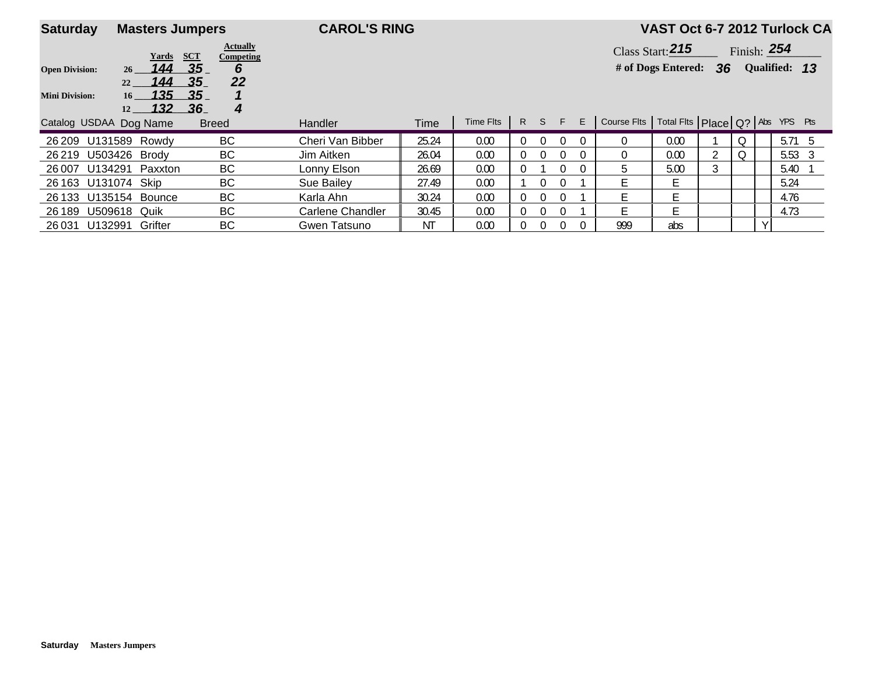| <b>Saturday</b>        | <b>Masters Jumpers</b>                           |                                                   | <b>CAROL'S RING</b> |       |           |                |                |   |   |                                                     | VAST Oct 6-7 2012 Turlock CA |    |          |               |               |  |
|------------------------|--------------------------------------------------|---------------------------------------------------|---------------------|-------|-----------|----------------|----------------|---|---|-----------------------------------------------------|------------------------------|----|----------|---------------|---------------|--|
|                        | Yards                                            | <b>Actually</b><br><b>SCT</b><br><b>Competing</b> |                     |       |           |                |                |   |   |                                                     | Class Start: 215             |    |          | Finish: $254$ |               |  |
| <b>Open Division:</b>  | 144<br>26                                        | .35<br>6                                          |                     |       |           |                |                |   |   |                                                     | # of Dogs Entered:           | 36 |          |               | Qualified: 13 |  |
| <b>Mini Division:</b>  | 144<br>22<br>135<br>16 <sup>1</sup><br>132<br>12 | 22<br>-35.<br>.35<br>-36<br>4                     |                     |       |           |                |                |   |   |                                                     |                              |    |          |               |               |  |
| Catalog USDAA Dog Name |                                                  | <b>Breed</b>                                      | Handler             | Time  | Time Fits |                | R S            | F | E | Course Flts   Total Flts   Place   Q?   Abs YPS Pts |                              |    |          |               |               |  |
| 26 209                 | U131589 Rowdy                                    | BC                                                | Cheri Van Bibber    | 25.24 | 0.00      | $\Omega$       | $\Omega$       |   |   | $\Omega$                                            | 0.00                         |    | $\Omega$ |               | $5.71\quad 5$ |  |
| 26 219                 | U503426 Brody                                    | BС                                                | Jim Aitken          | 26.04 | 0.00      | $\overline{0}$ | $\Omega$       |   |   | $\Omega$                                            | 0.00                         |    | Q        |               | 5.53 3        |  |
| U134291<br>26 007      | Paxxton                                          | BC                                                | Lonny Elson         | 26.69 | 0.00      | 0              |                |   |   | 5                                                   | 5.00                         | 3  |          |               | 5.40          |  |
| 26 163 U131074 Skip    |                                                  | BС                                                | Sue Bailey          | 27.49 | 0.00      |                | $\Omega$       |   |   | E                                                   | Е                            |    |          |               | 5.24          |  |
| 26 133                 | U135154 Bounce                                   | BС                                                | Karla Ahn           | 30.24 | 0.00      | 0.             | $\Omega$       |   |   | F                                                   | F                            |    |          |               | 4.76          |  |
| 26 189                 | <b>U509618 Quik</b>                              | BC                                                | Carlene Chandler    | 30.45 | 0.00      | $\overline{0}$ | $\overline{0}$ |   |   | E                                                   | E                            |    |          |               | 4.73          |  |
| U132991<br>26031       | Grifter                                          | BС                                                | Gwen Tatsuno        | ΝT    | 0.00      | 0              | $\overline{0}$ |   |   | 999                                                 | abs                          |    |          | $\sqrt{ }$    |               |  |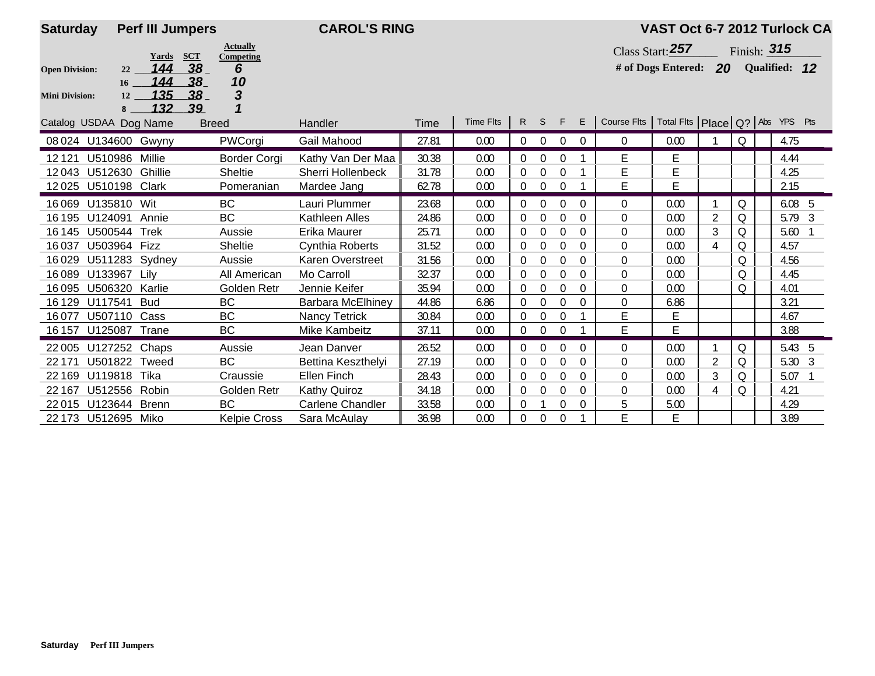| <b>Saturday</b>        | <b>Perf III Jumpers</b>            |                                             | <b>CAROL'S RING</b>      |       |           |                |                |              |          |                                                     | VAST Oct 6-7 2012 Turlock CA        |                |          |                   |  |
|------------------------|------------------------------------|---------------------------------------------|--------------------------|-------|-----------|----------------|----------------|--------------|----------|-----------------------------------------------------|-------------------------------------|----------------|----------|-------------------|--|
|                        | <b>SCT</b><br>Yards                | <b>Actually</b><br>Competing                |                          |       |           |                |                |              |          |                                                     | Class Start: $257$                  |                |          | Finish: $315$     |  |
| <b>Open Division:</b>  | 144<br>22                          | 38<br>6                                     |                          |       |           |                |                |              |          |                                                     | # of Dogs Entered: 20 Qualified: 12 |                |          |                   |  |
| <b>Mini Division:</b>  | 144<br>16<br>135<br>12<br>132<br>8 | 38<br>10<br>3<br>38 <sub>1</sub><br>1<br>39 |                          |       |           |                |                |              |          |                                                     |                                     |                |          |                   |  |
| Catalog USDAA Dog Name |                                    | <b>Breed</b>                                | Handler                  | Time  | Time Flts | R              | S              | F            | E        | Course Fits   Total Fits   Place   Q?   Abs YPS Pts |                                     |                |          |                   |  |
| 08 024 U134600 Gwyny   |                                    | PWCorgi                                     | Gail Mahood              | 27.81 | 0.00      | $\overline{0}$ | $\overline{0}$ | $\mathbf{0}$ | $\Omega$ | $\mathbf 0$                                         | 0.00                                |                | Q        | 4.75              |  |
| 12121                  | U510986 Millie                     | <b>Border Corgi</b>                         | Kathy Van Der Maa        | 30.38 | 0.00      | 0              | $\mathbf 0$    | 0            |          | E                                                   | E                                   |                |          | 4.44              |  |
| 12043                  | U512630 Ghillie                    | Sheltie                                     | Sherri Hollenbeck        | 31.78 | 0.00      | $\Omega$       | $\theta$       | $\Omega$     |          | E                                                   | E                                   |                |          | 4.25              |  |
| 12025                  | U510198 Clark                      | Pomeranian                                  | Mardee Jang              | 62.78 | 0.00      | $\Omega$       | $\mathbf 0$    | $\Omega$     |          | E                                                   | E                                   |                |          | 2.15              |  |
| U135810<br>16069       | Wit                                | BC                                          | Lauri Plummer            | 23.68 | 0.00      |                | $\Omega$       | $\Omega$     | $\Omega$ | $\Omega$                                            | 0.00                                |                | Q        | 6.08 <sub>5</sub> |  |
| 16 195<br>U124091      | Annie                              | <b>BC</b>                                   | Kathleen Alles           | 24.86 | 0.00      | $\Omega$       | $\theta$       | $\Omega$     | $\theta$ | $\Omega$                                            | 0.00                                | 2              | Q        | $5.79$ 3          |  |
| 16 145                 | U500544 Trek                       | Aussie                                      | Erika Maurer             | 25.71 | 0.00      | $\Omega$       | $\theta$       | $\Omega$     | $\theta$ | 0                                                   | 0.00                                | 3              | Q        | 5.60              |  |
| 16037                  | U503964 Fizz                       | Sheltie                                     | <b>Cynthia Roberts</b>   | 31.52 | 0.00      | $\Omega$       | $\mathbf 0$    | $\Omega$     | $\Omega$ | $\Omega$                                            | 0.00                                | 4              | Q        | 4.57              |  |
| 16029                  | U511283 Sydney                     | Aussie                                      | Karen Overstreet         | 31.56 | 0.00      | $\Omega$       | $\mathbf 0$    | $\Omega$     | $\Omega$ | 0                                                   | 0.00                                |                | Q        | 4.56              |  |
| U133967<br>16089       | Lilv                               | All American                                | Mo Carroll               | 32.37 | 0.00      | $\Omega$       | $\theta$       | $\Omega$     | 0        | 0                                                   | 0.00                                |                | $\Omega$ | 4.45              |  |
| U506320<br>16095       | Karlie                             | Golden Retr                                 | Jennie Keifer            | 35.94 | 0.00      | $\Omega$       | $\mathbf 0$    | $\Omega$     | 0        | $\Omega$                                            | 0.00                                |                | Q        | 4.01              |  |
| U117541<br>16129       | <b>Bud</b>                         | BC                                          | <b>Barbara McElhiney</b> | 44.86 | 6.86      | $\Omega$       | $\mathbf 0$    | $\mathbf 0$  | 0        | $\mathbf 0$                                         | 6.86                                |                |          | 3.21              |  |
| 16077<br>U507110       | Cass                               | <b>BC</b>                                   | <b>Nancy Tetrick</b>     | 30.84 | 0.00      | $\theta$       | $\mathbf 0$    | $\Omega$     |          | E                                                   | E                                   |                |          | 4.67              |  |
| 16 157 U125087 Trane   |                                    | BC                                          | Mike Kambeitz            | 37.11 | 0.00      | $\Omega$       | $\mathbf 0$    | $\Omega$     |          | E                                                   | E                                   |                |          | 3.88              |  |
| 22005                  | U127252 Chaps                      | Aussie                                      | Jean Danver              | 26.52 | 0.00      | 0              | $\theta$       | $\Omega$     | $\Omega$ | $\mathbf 0$                                         | 0.00                                |                | Q        | 5.43 5            |  |
| 22 171                 | U501822 Tweed                      | <b>BC</b>                                   | Bettina Keszthelyi       | 27.19 | 0.00      | 0              | $\theta$       | $\Omega$     | $\Omega$ | $\Omega$                                            | 0.00                                | $\overline{2}$ | Q        | 5.30 3            |  |
| 22 169<br>U119818      | Tika                               | Craussie                                    | Ellen Finch              | 28.43 | 0.00      | 0              | $\mathbf 0$    | 0            | $\Omega$ | 0                                                   | 0.00                                | 3              | Q        | 5.07              |  |
| U512556<br>22 167      | Robin                              | Golden Retr                                 | Kathy Quiroz             | 34.18 | 0.00      | $\mathbf{0}$   | $\theta$       | $\mathbf 0$  | $\theta$ | $\mathbf 0$                                         | 0.00                                | 4              | Q        | 4.21              |  |
| 22015                  | U123644 Brenn                      | <b>BC</b>                                   | <b>Carlene Chandler</b>  | 33.58 | 0.00      | $\Omega$       |                | $\Omega$     | $\theta$ | 5                                                   | 5.00                                |                |          | 4.29              |  |
| 22 173 U512695 Miko    |                                    | <b>Kelpie Cross</b>                         | Sara McAulay             | 36.98 | 0.00      | 0              | $\theta$       | $\mathbf 0$  |          | E                                                   | Е                                   |                |          | 3.89              |  |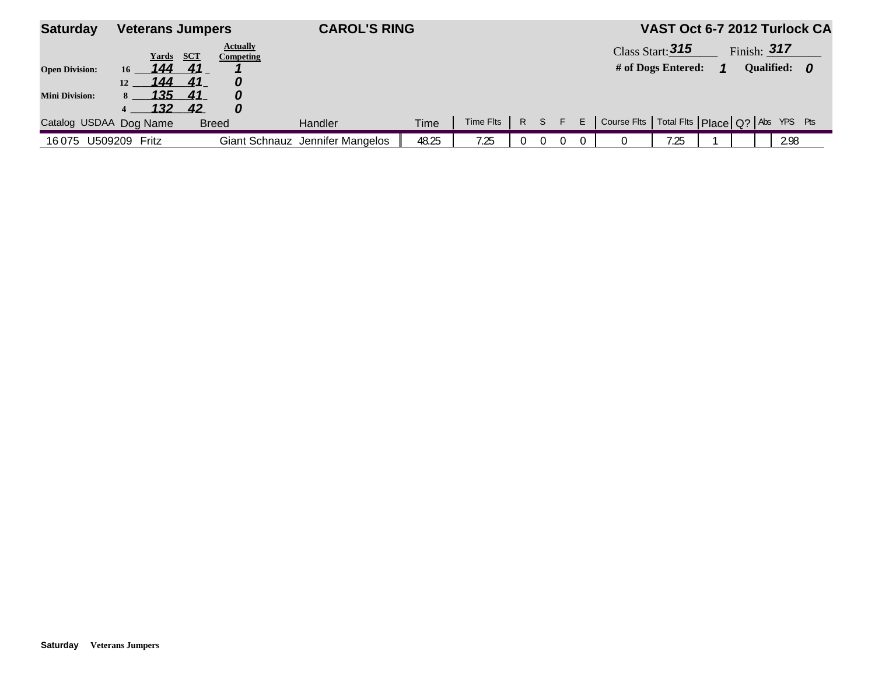| <b>Saturday</b>                                | <b>Veterans Jumpers</b>                                                         |                                   |                                        | <b>CAROL'S RING</b>             |             |           |  |              |   |                                                     | VAST Oct 6-7 2012 Turlock CA             |  |                                    |      |
|------------------------------------------------|---------------------------------------------------------------------------------|-----------------------------------|----------------------------------------|---------------------------------|-------------|-----------|--|--------------|---|-----------------------------------------------------|------------------------------------------|--|------------------------------------|------|
| <b>Open Division:</b><br><b>Mini Division:</b> | Yards<br>144<br>16 <sup>1</sup><br>144<br>12<br>135<br>8 <sup>1</sup><br>$132-$ | $\bf SCT$<br>41<br>41<br>41<br>42 | <b>Actually</b><br>Competing<br>0<br>0 |                                 |             |           |  |              |   |                                                     | Class Start: $315$<br># of Dogs Entered: |  | Finish: $317$<br><b>Qualified:</b> | - 0  |
| Catalog USDAA Dog Name                         |                                                                                 | <b>Breed</b>                      |                                        | <b>Handler</b>                  | <b>Time</b> | Time Flts |  | R S F        | E | Course Fits   Total Fits   Place   Q?   Abs YPS Pts |                                          |  |                                    |      |
| 16075 U509209 Fritz                            |                                                                                 |                                   |                                        | Giant Schnauz Jennifer Mangelos | 48.25       | 7.25      |  | <sup>n</sup> |   |                                                     | 7.25                                     |  |                                    | 2.98 |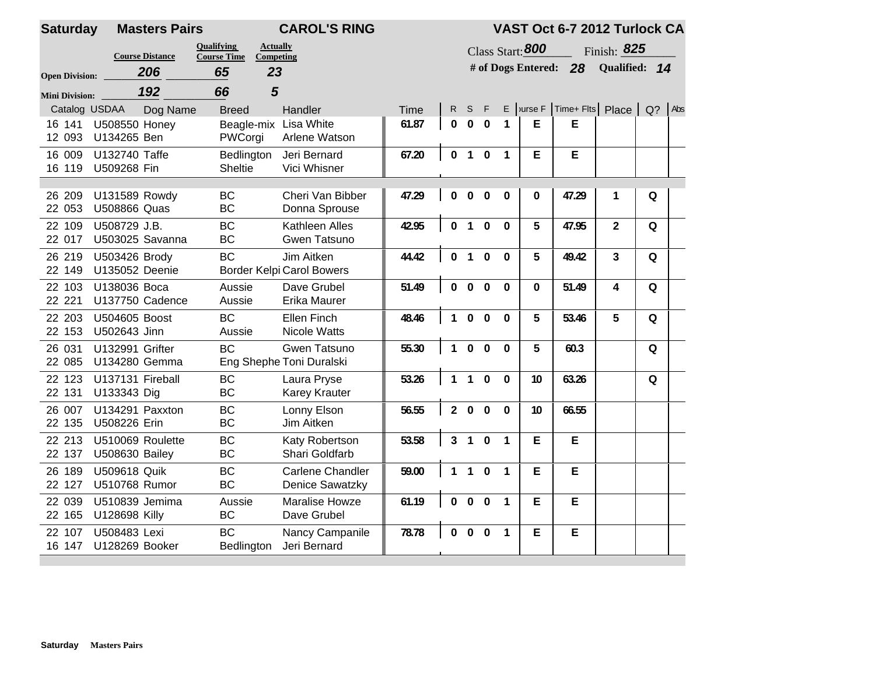| <b>Saturday</b>                        |                                           | <b>Masters Pairs</b> |                                         | <b>CAROL'S RING</b>                            |       |                |              |                         |                |                    | VAST Oct 6-7 2012 Turlock CA |                |          |  |
|----------------------------------------|-------------------------------------------|----------------------|-----------------------------------------|------------------------------------------------|-------|----------------|--------------|-------------------------|----------------|--------------------|------------------------------|----------------|----------|--|
|                                        | <b>Course Distance</b>                    |                      | <b>Oualifying</b><br><b>Course Time</b> | <b>Actually</b><br><b>Competing</b>            |       |                |              |                         |                | Class Start: 800   |                              | Finish: 825    |          |  |
| <b>Open Division:</b>                  | 206                                       |                      | 65                                      | 23                                             |       |                |              |                         |                | # of Dogs Entered: | 28                           | Qualified: 14  |          |  |
|                                        | 192                                       |                      | 66                                      | 5                                              |       |                |              |                         |                |                    |                              |                |          |  |
| <b>Mini Division:</b><br>Catalog USDAA |                                           | Dog Name             | <b>Breed</b>                            | Handler                                        | Time  | R.             | S            | - F                     |                | $E$ Jurse F        | Time+ Flts Place Q? Abs      |                |          |  |
| 16 141<br>12 093                       | <b>U508550 Honey</b><br>U134265 Ben       |                      | PWCorgi                                 | Beagle-mix Lisa White<br>Arlene Watson         | 61.87 | $\mathbf{0}$   | $\bf{0}$     | $\bf{0}$                | 1              | E                  | Е                            |                |          |  |
| 16 009<br>16 119                       | U132740 Taffe<br>U509268 Fin              |                      | Bedlington<br><b>Sheltie</b>            | Jeri Bernard<br>Vici Whisner                   | 67.20 | $\bf{0}$       | $\mathbf{1}$ | $\pmb{0}$               | $\mathbf{1}$   | E                  | E                            |                |          |  |
| 26 209<br>22 053                       | U131589 Rowdy<br>U508866 Quas             |                      | <b>BC</b><br><b>BC</b>                  | Cheri Van Bibber<br>Donna Sprouse              | 47.29 | $\Omega$       | $\Omega$     | $\mathbf{0}$            | $\Omega$       | $\mathbf{0}$       | 47.29                        | 1              | Q        |  |
| 22 109<br>22 017                       | U508729 J.B.<br>U503025 Savanna           |                      | <b>BC</b><br><b>BC</b>                  | Kathleen Alles<br>Gwen Tatsuno                 | 42.95 | 0              | $\mathbf{1}$ | $\Omega$                | $\mathbf{0}$   | 5                  | 47.95                        | $\overline{2}$ | Q        |  |
| 26 219<br>22 149                       | U503426 Brody<br>U135052 Deenie           |                      | <b>BC</b>                               | Jim Aitken<br><b>Border Kelpi Carol Bowers</b> | 44.42 | $\mathbf 0$    | $\mathbf{1}$ | $\mathbf{0}$            | $\mathbf 0$    | 5                  | 49.42                        | 3              | $\Omega$ |  |
| 22 103<br>22 221                       | U138036 Boca<br>U137750 Cadence           |                      | Aussie<br>Aussie                        | Dave Grubel<br>Erika Maurer                    | 51.49 | $\mathbf 0$    | $\bf{0}$     | $\bf{0}$                | $\mathbf{0}$   | 0                  | 51.49                        | 4              | 0        |  |
| 22 203<br>22 153                       | U504605 Boost<br>U502643 Jinn             |                      | <b>BC</b><br>Aussie                     | Ellen Finch<br><b>Nicole Watts</b>             | 48.46 | 1              | $\Omega$     | $\Omega$                | $\Omega$       | 5                  | 53.46                        | 5              | $\Omega$ |  |
| 26 031<br>22 085                       | U132991 Grifter<br>U134280 Gemma          |                      | <b>BC</b>                               | Gwen Tatsuno<br>Eng Shephe Toni Duralski       | 55.30 | $\mathbf{1}$   | $\Omega$     | $\mathbf{0}$            | $\mathbf{0}$   | 5                  | 60.3                         |                | $\Omega$ |  |
| 22 123<br>22 131                       | U137131 Fireball<br>U133343 Dig           |                      | <b>BC</b><br><b>BC</b>                  | Laura Pryse<br><b>Karey Krauter</b>            | 53.26 | $\mathbf{1}$   | $\mathbf{1}$ | $\mathbf{0}$            | $\mathbf{0}$   | 10                 | 63.26                        |                | $\Omega$ |  |
| 26 007<br>22 135                       | U134291 Paxxton<br>U508226 Erin           |                      | <b>BC</b><br><b>BC</b>                  | Lonny Elson<br>Jim Aitken                      | 56.55 | $\overline{2}$ | $\bf{0}$     | $\mathbf{0}$            | $\Omega$       | 10                 | 66.55                        |                |          |  |
| 22 213<br>22 137                       | U510069 Roulette<br><b>U508630 Bailey</b> |                      | <b>BC</b><br><b>BC</b>                  | Katy Robertson<br>Shari Goldfarb               | 53.58 | $\overline{3}$ | $\mathbf{1}$ | $\mathbf{0}$            | $\overline{1}$ | E                  | E                            |                |          |  |
| 26 189<br>22 127                       | U509618 Quik<br>U510768 Rumor             |                      | <b>BC</b><br><b>BC</b>                  | Carlene Chandler<br><b>Denice Sawatzky</b>     | 59.00 | $\mathbf{1}$   | $\mathbf{1}$ | $\mathbf{0}$            | $\mathbf{1}$   | E                  | E                            |                |          |  |
| 22 039<br>22 165                       | U510839 Jemima<br>U128698 Killy           |                      | Aussie<br><b>BC</b>                     | Maralise Howze<br>Dave Grubel                  | 61.19 | $\mathbf{0}$   | $\bf{0}$     | $\overline{\mathbf{0}}$ | $\overline{1}$ | E                  | E                            |                |          |  |
| 22 107<br>16 147                       | U508483 Lexi<br>U128269 Booker            |                      | <b>BC</b><br>Bedlington                 | Nancy Campanile<br>Jeri Bernard                | 78.78 | 0              | $\bf{0}$     | $\bf{0}$                | $\overline{1}$ | E                  | E                            |                |          |  |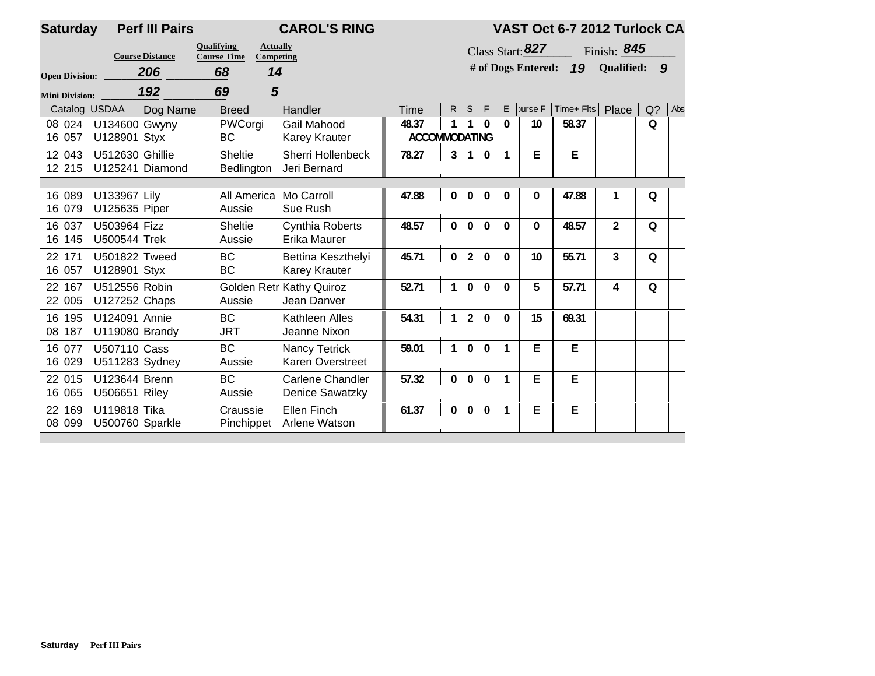| <b>Saturday</b>       | <b>Perf III Pairs</b>                 |                                                                         | <b>CAROL'S RING</b>                            |                               |              |                |              |              |                    | VAST Oct 6-7 2012 Turlock CA |                   |                  |     |
|-----------------------|---------------------------------------|-------------------------------------------------------------------------|------------------------------------------------|-------------------------------|--------------|----------------|--------------|--------------|--------------------|------------------------------|-------------------|------------------|-----|
|                       | <b>Course Distance</b>                | <b>Qualifying</b><br><b>Actually</b><br><b>Course Time</b><br>Competing |                                                |                               |              |                |              |              | Class Start: 827   |                              | Finish: $845$     |                  |     |
| <b>Open Division:</b> | 206                                   | 68<br>14                                                                |                                                |                               |              |                |              |              | # of Dogs Entered: | 19                           | <b>Qualified:</b> | $\boldsymbol{9}$ |     |
| <b>Mini Division:</b> | 192                                   | 5<br>69                                                                 |                                                |                               |              |                |              |              |                    |                              |                   |                  |     |
| Catalog USDAA         | Dog Name                              | <b>Breed</b>                                                            | Handler                                        | Time                          | $\mathsf{R}$ | S              | - F          |              | $E$ vurse $F$      | Time+ Flts Place             |                   | $Q$ ?            | Abs |
| 08 024<br>16 057      | U134600 Gwyny<br>U128901 Styx         | PWCorgi<br>BC                                                           | Gail Mahood<br><b>Karey Krauter</b>            | 48.37<br><b>ACCOMMODATING</b> |              |                |              | 0            | 10                 | 58.37                        |                   | 0                |     |
| 12 043<br>12 215      | U512630 Ghillie<br>U125241 Diamond    | Sheltie<br>Bedlington                                                   | Sherri Hollenbeck<br>Jeri Bernard              | 78.27                         | 3            | $\mathbf{1}$   | $\mathbf{0}$ | $\mathbf{1}$ | E.                 | E                            |                   |                  |     |
| 16 089<br>16 079      | U133967 Lily<br>U125635 Piper         | All America<br>Aussie                                                   | Mo Carroll<br>Sue Rush                         | 47.88                         | $\Omega$     | 0              | $\Omega$     | 0            | 0                  | 47.88                        |                   | Q                |     |
| 16 037<br>16 145      | U503964 Fizz<br>U500544 Trek          | <b>Sheltie</b><br>Aussie                                                | <b>Cynthia Roberts</b><br>Erika Maurer         | 48.57                         | $\Omega$     | $\Omega$       | $\Omega$     | $\Omega$     | $\Omega$           | 48.57                        | $\overline{2}$    | Q                |     |
| 22 171<br>16 057      | U501822 Tweed<br>U128901 Styx         | <b>BC</b><br><b>BC</b>                                                  | Bettina Keszthelyi<br><b>Karey Krauter</b>     | 45.71                         | $\Omega$     | $\overline{2}$ | $\mathbf{0}$ | $\mathbf{0}$ | 10                 | 55.71                        | 3                 | $\Omega$         |     |
| 22 167<br>22 005      | U512556 Robin<br>U127252 Chaps        | Aussie                                                                  | <b>Golden Retr Kathy Quiroz</b><br>Jean Danver | 52.71                         |              | $\Omega$       | $\Omega$     | $\mathbf{0}$ | 5                  | 57.71                        | 4                 | Q                |     |
| 16 195<br>08 187      | U124091 Annie<br>U119080 Brandy       | <b>BC</b><br><b>JRT</b>                                                 | Kathleen Alles<br>Jeanne Nixon                 | 54.31                         |              | $\mathfrak{p}$ | $\Omega$     | $\Omega$     | 15                 | 69.31                        |                   |                  |     |
| 16 077<br>16 029      | U507110 Cass<br>U511283 Sydney        | <b>BC</b><br>Aussie                                                     | Nancy Tetrick<br><b>Karen Overstreet</b>       | 59.01                         |              | $\Omega$       | $\Omega$     | $\mathbf{1}$ | E                  | E                            |                   |                  |     |
| 22 015<br>16 065      | U123644 Brenn<br><b>U506651 Riley</b> | <b>BC</b><br>Aussie                                                     | <b>Carlene Chandler</b><br>Denice Sawatzky     | 57.32                         | $\Omega$     | $\Omega$       | $\mathbf{0}$ | 1            | E                  | E                            |                   |                  |     |
| 22 169<br>08 099      | U119818 Tika<br>U500760 Sparkle       | Craussie<br>Pinchippet                                                  | Ellen Finch<br>Arlene Watson                   | 61.37                         | $\mathbf{0}$ | $\Omega$       | $\mathbf{0}$ | $\mathbf{1}$ | E                  | E                            |                   |                  |     |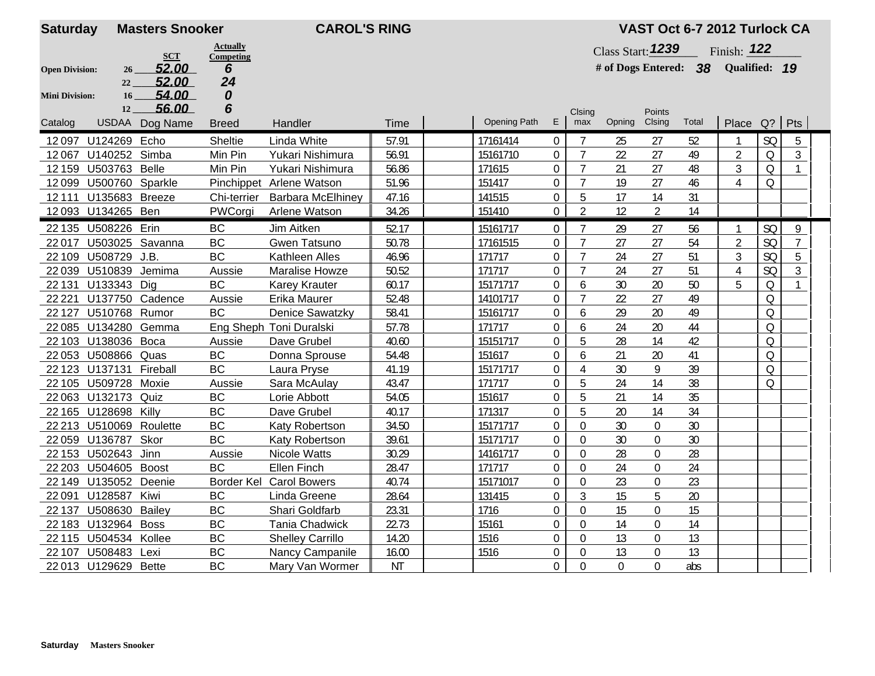| <b>Actually</b><br>Class Start: 1239<br>Finish: 122<br><b>SCT</b><br>Competing<br>Qualified: 19<br>52.00<br># of Dogs Entered: 38<br>6<br><b>Open Division:</b><br>26<br>52.00<br>24<br>22<br>54.00<br>0<br>16 <sup>2</sup><br><b>Mini Division:</b> |                |
|------------------------------------------------------------------------------------------------------------------------------------------------------------------------------------------------------------------------------------------------------|----------------|
|                                                                                                                                                                                                                                                      |                |
|                                                                                                                                                                                                                                                      |                |
|                                                                                                                                                                                                                                                      |                |
|                                                                                                                                                                                                                                                      |                |
| 6<br>56.00<br>12<br>Points<br>Clsing                                                                                                                                                                                                                 |                |
| <b>Opening Path</b><br>E<br>Clsing<br>Total<br>$Q$ ?<br>Pts<br>max<br>Opning<br>Place<br>USDAA Dog Name<br>Catalog<br>Handler<br>Time<br><b>Breed</b>                                                                                                |                |
| <b>SQ</b><br>12097 U124269 Echo<br><b>Sheltie</b><br>Linda White<br>57.91<br>17161414<br>$\Omega$<br>$\overline{7}$<br>27<br>25<br>52                                                                                                                | 5              |
| $\overline{7}$<br>27<br>12067<br>U140252 Simba<br>Min Pin<br>Yukari Nishimura<br>56.91<br>15161710<br>0<br>22<br>49<br>$\overline{2}$<br>Q                                                                                                           | $\mathfrak{Z}$ |
| U503763 Belle<br>$\mathbf 0$<br>27<br>48<br>3<br>12 15 9<br>Min Pin<br>Yukari Nishimura<br>56.86<br>171615<br>21<br>Q                                                                                                                                | $\mathbf{1}$   |
| 27<br>46<br>$\overline{4}$<br>12099<br>U500760 Sparkle<br>151417<br>$\overline{0}$<br>$\overline{7}$<br>19<br>Q<br>Pinchippet Arlene Watson<br>51.96                                                                                                 |                |
| $\mathbf 0$<br>17<br>14<br>12111<br>U135683 Breeze<br>Chi-terrier<br>47.16<br>141515<br>5<br>31<br><b>Barbara McElhiney</b>                                                                                                                          |                |
| $\overline{2}$<br>$\overline{2}$<br>34.26<br>$\mathbf 0$<br>12<br>14<br>12093 U134265 Ben<br>PWCorgi<br>151410<br>Arlene Watson                                                                                                                      |                |
| 22 135 U508226 Erin<br>BC<br>Jim Aitken<br>52.17<br>15161717<br>$\boldsymbol{0}$<br>29<br>27<br>SQ<br>56<br>1                                                                                                                                        | 9              |
| BC<br>$\overline{2}$<br><b>SQ</b><br>U503025 Savanna<br>$\mathbf 0$<br>27<br>27<br>54<br>22017<br>Gwen Tatsuno<br>50.78<br>17161515                                                                                                                  | $\overline{7}$ |
| <b>BC</b><br>27<br>3<br>SQ<br>U508729 J.B.<br>Kathleen Alles<br>46.96<br>171717<br>$\mathbf 0$<br>24<br>51<br>22 109                                                                                                                                 | 5              |
| 27<br>$\mathbf 0$<br>$\overline{7}$<br>24<br>51<br>SQ<br>22 039 U510839<br>Jemima<br>50.52<br>171717<br>$\overline{4}$<br>Aussie<br><b>Maralise Howze</b>                                                                                            | $\mathfrak{Z}$ |
| 30<br>20<br>5<br><b>BC</b><br>$\boldsymbol{0}$<br>50<br>$\mathsf O$<br>22 131<br>U133343<br>Dig<br><b>Karey Krauter</b><br>60.17<br>15171717<br>6                                                                                                    | $\mathbf{1}$   |
| 22 2 2 1<br>U137750<br>52.48<br>14101717<br>$\overline{0}$<br>$\overline{7}$<br>22<br>27<br>49<br>Q<br>Cadence<br>Aussie<br>Erika Maurer                                                                                                             |                |
| <b>BC</b><br>29<br>20<br>49<br>Q<br>22 1 27<br>U510768 Rumor<br><b>Denice Sawatzky</b><br>58.41<br>15161717<br>$\mathbf 0$<br>6                                                                                                                      |                |
| 22 085 U134280 Gemma<br>Eng Sheph Toni Duralski<br>171717<br>$\mathbf 0$<br>44<br>$\mathsf O$<br>57.78<br>24<br>20<br>6                                                                                                                              |                |
| 22 103 U138036 Boca<br>$\overline{0}$<br>5<br>28<br>42<br>$\Omega$<br>Aussie<br>Dave Grubel<br>40.60<br>15151717<br>14                                                                                                                               |                |
| <b>BC</b><br>$\mathbf 0$<br>20<br>$\Omega$<br>22 053 U508866 Quas<br>Donna Sprouse<br>54.48<br>151617<br>21<br>41<br>6                                                                                                                               |                |
| BC<br>30<br>9<br>$\mathsf O$<br>22 123 U137131 Fireball<br>15171717<br>$\mathbf 0$<br>39<br>Laura Pryse<br>41.19<br>$\Delta$                                                                                                                         |                |
| 14<br>22 105 U509728<br>Moxie<br>171717<br>$\mathbf 0$<br>5<br>24<br>Q<br>Aussie<br>Sara McAulay<br>43.47<br>38                                                                                                                                      |                |
| <b>BC</b><br>5<br>14<br>35<br>22 063 U132173 Quiz<br>54.05<br>151617<br>$\mathbf 0$<br>21<br>Lorie Abbott                                                                                                                                            |                |
| <b>BC</b><br>5<br>14<br>34<br>22 165 U128698<br>$\mathbf 0$<br>20<br>Killy<br>Dave Grubel<br>40.17<br>171317                                                                                                                                         |                |
| BC<br>15171717<br>$\mathbf 0$<br>30<br>$\boldsymbol{0}$<br>30<br>22 213 U510069<br>Roulette<br>34.50<br>0<br>Katy Robertson                                                                                                                          |                |
| <b>BC</b><br>30<br>U136787<br>Skor<br>39.61<br>15171717<br>$\overline{0}$<br>$\Omega$<br>$\overline{0}$<br>30<br>22059<br>Katy Robertson                                                                                                             |                |
| 22 153 U502643<br>Jinn<br>28<br>$\mathbf 0$<br>Aussie<br><b>Nicole Watts</b><br>30.29<br>14161717<br>$\Omega$<br>0<br>28                                                                                                                             |                |
| <b>BC</b><br>28.47<br>$\mathbf 0$<br>22 203 U504605 Boost<br><b>Ellen Finch</b><br>171717<br>$\Omega$<br>24<br>$\overline{0}$<br>24                                                                                                                  |                |
| Border Kel Carol Bowers<br>$\boldsymbol{0}$<br>23<br>$\boldsymbol{0}$<br>23<br>22 149<br>U135052<br>Deenie<br>40.74<br>15171017<br>0                                                                                                                 |                |
| <b>BC</b><br>15<br>5<br>22091<br>U128587<br>Kiwi<br>28.64<br>$\overline{0}$<br>3<br>20<br>Linda Greene<br>131415                                                                                                                                     |                |
| 15<br><b>BC</b><br>$\mathbf 0$<br>$\overline{0}$<br>15<br>22 137<br>U508630<br>Bailey<br>Shari Goldfarb<br>23.31<br>1716<br>$\Omega$                                                                                                                 |                |
| <b>BC</b><br>22.73<br>14<br>$\mathbf 0$<br>22 183 U132964 Boss<br><b>Tania Chadwick</b><br>15161<br>0<br>0<br>14                                                                                                                                     |                |
| <b>BC</b><br>13<br>$\mathbf 0$<br>13<br>22 115 U504534 Kollee<br>14.20<br>1516<br>$\mathbf 0$<br>$\mathbf 0$<br><b>Shelley Carrillo</b>                                                                                                              |                |
| <b>BC</b><br>13<br>$\mathbf 0$<br>13<br>U508483<br>Nancy Campanile<br>16.00<br>1516<br>0<br>22 107<br>Lexi<br>0                                                                                                                                      |                |
| <b>BC</b><br>$\overline{0}$<br>$\overline{0}$<br>$\overline{0}$<br>22 013 U129629 Bette<br>Mary Van Wormer<br><b>NT</b><br>$\Omega$<br>abs                                                                                                           |                |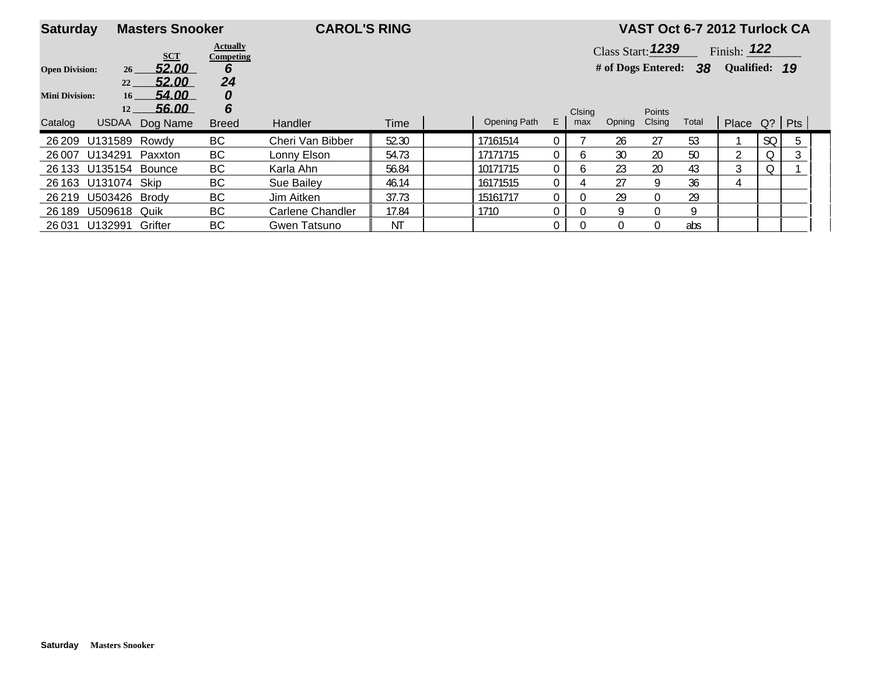| <b>Saturday</b>       |                       | <b>Masters Snooker</b> |                              | <b>CAROL'S RING</b> |       |              |                |              |                     |               | VAST Oct 6-7 2012 Turlock CA |                |           |   |  |
|-----------------------|-----------------------|------------------------|------------------------------|---------------------|-------|--------------|----------------|--------------|---------------------|---------------|------------------------------|----------------|-----------|---|--|
|                       |                       | <b>SCT</b>             | <b>Actually</b><br>Competing |                     |       |              |                |              | Class Start: $1239$ |               |                              | Finish: $122$  |           |   |  |
| <b>Open Division:</b> | 26 <sup>1</sup>       | 52.00                  | 6                            |                     |       |              |                |              | # of Dogs Entered:  |               | 38                           | Qualified: 19  |           |   |  |
|                       | 22                    | 52.00                  | 24                           |                     |       |              |                |              |                     |               |                              |                |           |   |  |
| <b>Mini Division:</b> | 16                    | 54.00                  | 0                            |                     |       |              |                |              |                     |               |                              |                |           |   |  |
|                       | 12                    | 56.00                  | 6                            |                     |       |              |                | Clsing       |                     | <b>Points</b> |                              |                |           |   |  |
| Catalog               | <b>USDAA</b>          | Dog Name               | <b>Breed</b>                 | <b>Handler</b>      | Time  | Opening Path | E.             | max          | Opning              | Clsing        | Total                        | Place Q?   Pts |           |   |  |
| 26 209                | U131589               | Rowdv                  | BC                           | Cheri Van Bibber    | 52.30 | 17161514     | 0              |              | 26                  | 27            | 53                           |                | <b>SQ</b> | 5 |  |
| 26 007                | U134291 Paxxton       |                        | BC                           | Lonny Elson         | 54.73 | 17171715     | $\overline{0}$ | h.           | 30                  | 20            | 50                           | າ              | Q         | 3 |  |
|                       | 26 133 U135154 Bounce |                        | BC                           | Karla Ahn           | 56.84 | 10171715     | 0              | <sub>0</sub> | 23                  | 20            | 43                           | 3              | Q         |   |  |
|                       | 26 163 U131074 Skip   |                        | BC                           | Sue Bailey          | 46.14 | 16171515     | $\overline{0}$ |              | 27                  | 9             | 36                           | 4              |           |   |  |
| 26 219                | U503426 Brody         |                        | BC                           | Jim Aitken          | 37.73 | 15161717     | $\overline{0}$ | 0.           | 29                  |               | 29                           |                |           |   |  |
| 26 189                | U509618 Quik          |                        | BC                           | Carlene Chandler    | 17.84 | 1710         | 0              |              |                     |               | Q                            |                |           |   |  |
| 26 031                | U132991 Grifter       |                        | BC                           | Gwen Tatsuno        | ΝT    |              | 0              |              |                     |               | abs                          |                |           |   |  |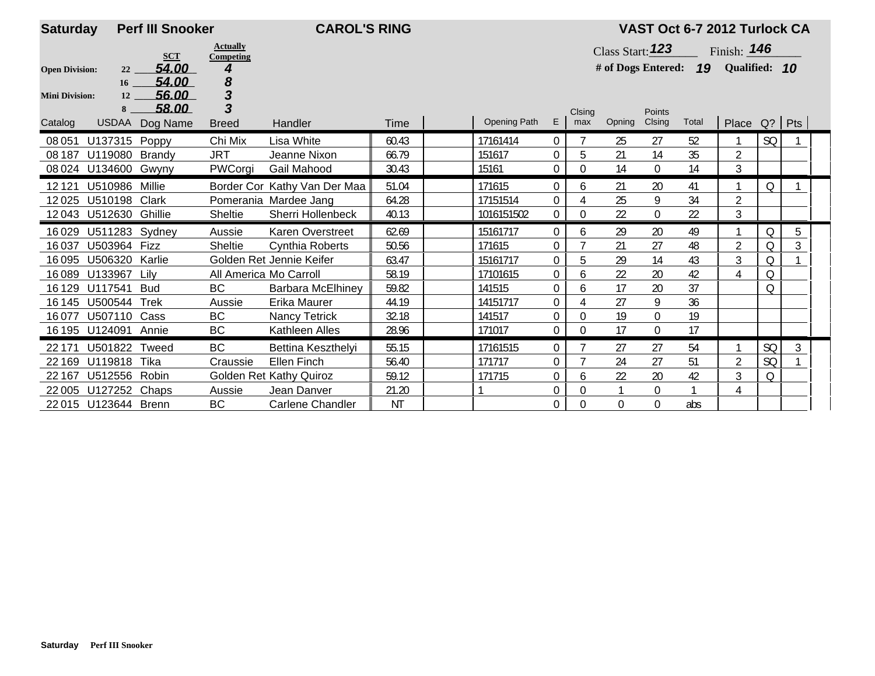| <b>Saturday</b>       |                       | <b>Perf III Snooker</b><br><b>CAROL'S RING</b> |                              |                                |           |  |                     |                |          |                  |                | VAST Oct 6-7 2012 Turlock CA        |                    |           |   |  |
|-----------------------|-----------------------|------------------------------------------------|------------------------------|--------------------------------|-----------|--|---------------------|----------------|----------|------------------|----------------|-------------------------------------|--------------------|-----------|---|--|
|                       |                       | <b>SCT</b>                                     | <b>Actually</b><br>Competing |                                |           |  |                     |                |          | Class Start: 123 |                |                                     | Finish: <b>146</b> |           |   |  |
| <b>Open Division:</b> | 22                    | 54.00                                          |                              |                                |           |  |                     |                |          |                  |                | # of Dogs Entered: 19 Qualified: 10 |                    |           |   |  |
|                       | 16                    | 54.00                                          | 8<br>3                       |                                |           |  |                     |                |          |                  |                |                                     |                    |           |   |  |
| <b>Mini Division:</b> | 12<br>8               | 56.00<br>58.00                                 | 3                            |                                |           |  |                     |                | Clsing   |                  | Points         |                                     |                    |           |   |  |
| Catalog               |                       | USDAA Dog Name                                 | <b>Breed</b>                 | Handler                        | Time      |  | <b>Opening Path</b> | E.             | max      | Opning           | Clsing         | Total                               | Place $Q?$ Pts     |           |   |  |
| 08 051                | U137315 Poppy         |                                                | Chi Mix                      | Lisa White                     | 60.43     |  | 17161414            | 0              |          | 25               | 27             | 52                                  |                    | SQ        |   |  |
| 08 187                | U119080 Brandy        |                                                | <b>JRT</b>                   | Jeanne Nixon                   | 66.79     |  | 151617              | 0              | 5        | 21               | 14             | 35                                  | $\overline{2}$     |           |   |  |
| 08 0 24               | U134600 Gwyny         |                                                | PWCorgi                      | Gail Mahood                    | 30.43     |  | 15161               | $\overline{0}$ | $\theta$ | 14               | $\overline{0}$ | 14                                  | 3                  |           |   |  |
| 12121                 | U510986               | Millie                                         |                              | Border Cor Kathy Van Der Maa   | 51.04     |  | 171615              | 0              | 6        | 21               | 20             | 41                                  |                    | O         |   |  |
| 12025                 | U510198               | Clark                                          |                              | Pomerania Mardee Jang          | 64.28     |  | 17151514            | 0              |          | 25               | 9              | 34                                  | $\overline{2}$     |           |   |  |
|                       | 12043 U512630 Ghillie |                                                | Sheltie                      | Sherri Hollenbeck              | 40.13     |  | 1016151502          | $\overline{0}$ | 0        | 22               | $\theta$       | 22                                  | 3                  |           |   |  |
| 16029                 | U511283 Sydney        |                                                | Aussie                       | Karen Overstreet               | 62.69     |  | 15161717            | $\overline{0}$ | 6        | 29               | 20             | 49                                  |                    | Q         | 5 |  |
| 16037                 | U503964 Fizz          |                                                | <b>Sheltie</b>               | <b>Cynthia Roberts</b>         | 50.56     |  | 171615              | 0              |          | 21               | 27             | 48                                  | $\overline{2}$     | Q         | 3 |  |
| 16095                 | <b>U506320 Karlie</b> |                                                |                              | Golden Ret Jennie Keifer       | 63.47     |  | 15161717            | 0              | 5        | 29               | 14             | 43                                  | $\mathfrak{Z}$     | Q         |   |  |
| 16089                 | U133967               | Lilv                                           | All America Mo Carroll       |                                | 58.19     |  | 17101615            | 0              | 6        | 22               | 20             | 42                                  | 4                  | Q         |   |  |
| 16 1 29               | U117541               | <b>Bud</b>                                     | <b>BC</b>                    | Barbara McElhiney              | 59.82     |  | 141515              | 0              | 6        | 17               | 20             | 37                                  |                    | Q         |   |  |
| 16 145                | U500544               | <b>Trek</b>                                    | Aussie                       | Erika Maurer                   | 44.19     |  | 14151717            | 0              |          | 27               | 9              | 36                                  |                    |           |   |  |
| 16077                 | U507110 Cass          |                                                | <b>BC</b>                    | <b>Nancy Tetrick</b>           | 32.18     |  | 141517              | 0              | 0        | 19               | 0              | 19                                  |                    |           |   |  |
|                       | 16 195 U124091 Annie  |                                                | <b>BC</b>                    | Kathleen Alles                 | 28.96     |  | 171017              | 0              | 0        | 17               | 0              | 17                                  |                    |           |   |  |
| 22 171                | U501822 Tweed         |                                                | <b>BC</b>                    | Bettina Keszthelyi             | 55.15     |  | 17161515            | 0              |          | 27               | 27             | 54                                  |                    | <b>SQ</b> | 3 |  |
| 22 169                | U119818               | Tika                                           | Craussie                     | Ellen Finch                    | 56.40     |  | 171717              | 0              |          | 24               | 27             | 51                                  | $\overline{2}$     | <b>SQ</b> |   |  |
| 22 167                | U512556               | Robin                                          |                              | <b>Golden Ret Kathy Quiroz</b> | 59.12     |  | 171715              | 0              | 6        | 22               | 20             | 42                                  | $\mathfrak{Z}$     | Q         |   |  |
| 22 005                | U127252 Chaps         |                                                | Aussie                       | Jean Danver                    | 21.20     |  |                     | 0              | 0        |                  | $\overline{0}$ |                                     | $\overline{4}$     |           |   |  |
|                       | 22 015 U123644 Brenn  |                                                | <b>BC</b>                    | <b>Carlene Chandler</b>        | <b>NT</b> |  |                     | 0              | $\theta$ | $\mathbf 0$      | 0              | abs                                 |                    |           |   |  |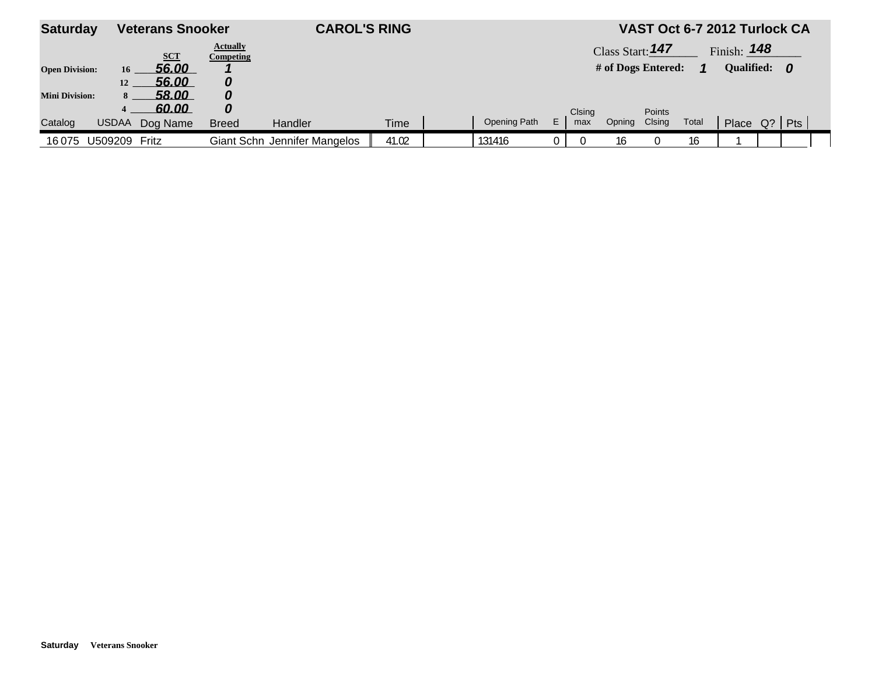| <b>Saturday</b>       |                | <b>Veterans Snooker</b> |                                     | <b>CAROL'S RING</b>          |       |              |   |        |                                        |        |       | VAST Oct 6-7 2012 Turlock CA  |  |  |
|-----------------------|----------------|-------------------------|-------------------------------------|------------------------------|-------|--------------|---|--------|----------------------------------------|--------|-------|-------------------------------|--|--|
|                       |                | <b>SCT</b>              | <b>Actually</b><br><b>Competing</b> |                              |       |              |   |        | Class Start: 147<br># of Dogs Entered: |        |       | Finish: $148$<br>Qualified: 0 |  |  |
| <b>Open Division:</b> | 16<br>12       | 56.00<br>56.00          |                                     |                              |       |              |   |        |                                        |        |       |                               |  |  |
| <b>Mini Division:</b> | 8 <sup>1</sup> | 58.00<br>60.00          | 0                                   |                              |       |              |   | Clsing |                                        | Points |       |                               |  |  |
| Catalog               | <b>USDAA</b>   | Dog Name                | <b>Breed</b>                        | Handler                      | Time  | Opening Path | E | max    | Opning                                 | Clsing | Total | Place Q?   Pts                |  |  |
| 16075                 | U509209        | Fritz                   |                                     | Giant Schn Jennifer Mangelos | 41.02 | 131416       |   |        | 16                                     |        | 16    |                               |  |  |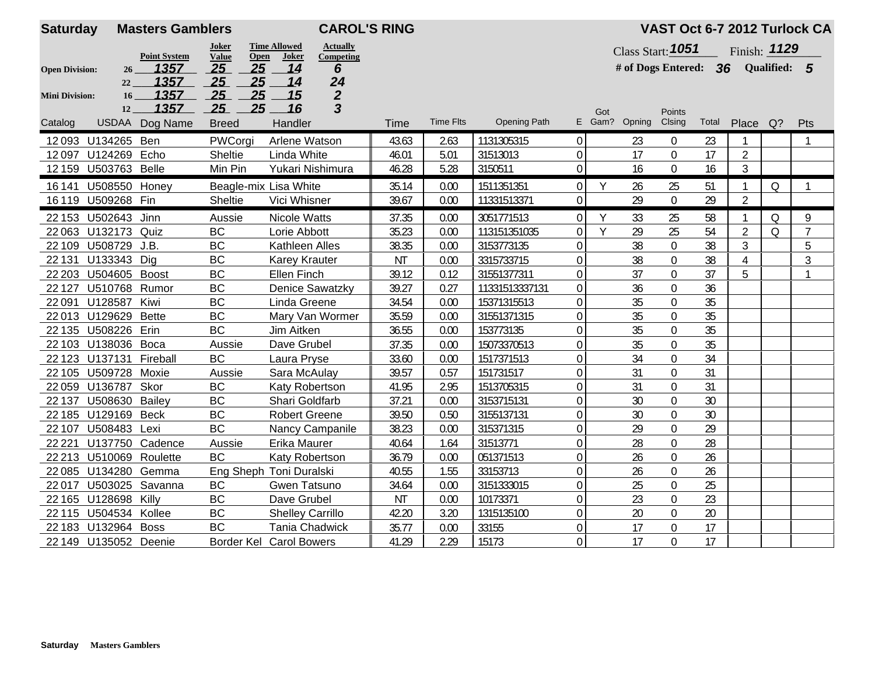| <b>Saturday</b>                                                                                                      | <b>CAROL'S RING</b><br><b>Masters Gamblers</b> |                |                         |                         |                  |           |                  |                     | VAST Oct 6-7 2012 Turlock CA      |     |                                    |                |       |                |          |                |  |
|----------------------------------------------------------------------------------------------------------------------|------------------------------------------------|----------------|-------------------------|-------------------------|------------------|-----------|------------------|---------------------|-----------------------------------|-----|------------------------------------|----------------|-------|----------------|----------|----------------|--|
| <b>Time Allowed</b><br><b>Actually</b><br>Joker<br>Value<br><b>Point System</b><br>Open<br><b>Joker</b><br>Competing |                                                |                |                         |                         |                  |           |                  |                     | Class Start: 1051<br>Finish: 1129 |     |                                    |                |       |                |          |                |  |
| 1357<br>26<br><b>Open Division:</b>                                                                                  |                                                |                | 25<br>25                | 14                      | 6                |           |                  |                     |                                   |     | # of Dogs Entered: 36 Qualified: 5 |                |       |                |          |                |  |
|                                                                                                                      | 22                                             | 1357           | 25<br>25                | 14                      | 24               |           |                  |                     |                                   |     |                                    |                |       |                |          |                |  |
| <b>Mini Division:</b>                                                                                                | 16 <sup>1</sup>                                | 1357           | 25<br>25                | 15                      | $\boldsymbol{2}$ |           |                  |                     |                                   |     |                                    |                |       |                |          |                |  |
|                                                                                                                      | 12                                             | 1357           | 25<br>25                | 16                      | 3                |           |                  |                     |                                   | Got |                                    | Points         |       |                |          |                |  |
| Catalog                                                                                                              |                                                | USDAA Dog Name | <b>Breed</b>            | Handler                 |                  | Time      | <b>Time Flts</b> | <b>Opening Path</b> |                                   |     | E Gam? Opning                      | Clsing         | Total | Place          | $Q$ ?    | Pts            |  |
|                                                                                                                      | 12093 U134265 Ben                              |                | PWCorgi                 | Arlene Watson           |                  | 43.63     | 2.63             | 1131305315          | $\mathbf 0$                       |     | 23                                 | $\mathbf{0}$   | 23    |                |          |                |  |
|                                                                                                                      | 12097 U124269 Echo                             |                | Sheltie                 | Linda White             |                  | 46.01     | 5.01             | 31513013            | 0                                 |     | 17                                 | $\overline{0}$ | 17    | $\overline{2}$ |          |                |  |
|                                                                                                                      | 12 159 U503763 Belle                           |                | Min Pin                 | Yukari Nishimura        |                  | 46.28     | 5.28             | 3150511             | $\mathbf 0$                       |     | 16                                 | $\mathbf 0$    | 16    | $\mathfrak{Z}$ |          |                |  |
|                                                                                                                      | 16 141 U508550 Honey                           |                | Beagle-mix Lisa White   |                         |                  | 35.14     | 0.00             | 1511351351          | $\mathbf 0$                       | Y   | 26                                 | 25             | 51    | $\mathbf{1}$   | Q        | $\mathbf{1}$   |  |
|                                                                                                                      | 16 119 U509268 Fin                             |                | Sheltie                 | Vici Whisner            |                  | 39.67     | 0.00             | 11331513371         | $\mathbf 0$                       |     | 29                                 | $\mathbf{0}$   | 29    | $\overline{2}$ |          |                |  |
|                                                                                                                      | 22 153 U502643 Jinn                            |                | Aussie                  | Nicole Watts            |                  | 37.35     | 0.00             | 3051771513          | $\mathbf{0}$                      | Y   | 33                                 | 25             | 58    | $\mathbf{1}$   | Q        | 9              |  |
|                                                                                                                      | 22 063 U132173 Quiz                            |                | BC                      | Lorie Abbott            |                  | 35.23     | 0.00             | 113151351035        | $\mathbf 0$                       | Y   | 29                                 | 25             | 54    | $\overline{2}$ | $\Omega$ | $\overline{7}$ |  |
|                                                                                                                      | 22 109 U508729 J.B.                            |                | <b>BC</b>               | Kathleen Alles          |                  | 38.35     | 0.00             | 3153773135          | $\mathbf 0$                       |     | 38                                 | $\mathbf{0}$   | 38    | 3              |          | 5              |  |
|                                                                                                                      | 22 131 U133343 Dig                             |                | <b>BC</b>               | <b>Karey Krauter</b>    |                  | <b>NT</b> | 0.00             | 3315733715          | $\mathbf 0$                       |     | 38                                 | $\mathbf 0$    | 38    | $\overline{4}$ |          | 3              |  |
|                                                                                                                      | 22 203 U504605 Boost                           |                | BC                      | Ellen Finch             |                  | 39.12     | 0.12             | 31551377311         | $\boldsymbol{0}$                  |     | 37                                 | $\mathbf 0$    | 37    | 5              |          | $\mathbf{1}$   |  |
| 22 1 27                                                                                                              | U510768 Rumor                                  |                | BC                      |                         | Denice Sawatzky  | 39.27     | 0.27             | 11331513337131      | $\boldsymbol{0}$                  |     | 36                                 | $\mathbf 0$    | 36    |                |          |                |  |
| 22091                                                                                                                | U128587 Kiwi                                   |                | <b>BC</b>               | Linda Greene            |                  | 34.54     | 0.00             | 15371315513         | $\boldsymbol{0}$                  |     | 35                                 | $\mathbf 0$    | 35    |                |          |                |  |
|                                                                                                                      | 22013 U129629                                  | <b>Bette</b>   | BC                      |                         | Mary Van Wormer  | 35.59     | 0.00             | 31551371315         | $\boldsymbol{0}$                  |     | 35                                 | $\overline{0}$ | 35    |                |          |                |  |
|                                                                                                                      | 22 135 U508226 Erin                            |                | <b>BC</b>               | Jim Aitken              |                  | 36.55     | 0.00             | 153773135           | $\boldsymbol{0}$                  |     | 35                                 | $\mathbf 0$    | 35    |                |          |                |  |
|                                                                                                                      | 22 103 U138036 Boca                            |                | Aussie                  | Dave Grubel             |                  | 37.35     | 0.00             | 15073370513         | $\boldsymbol{0}$                  |     | 35                                 | $\mathbf 0$    | 35    |                |          |                |  |
|                                                                                                                      | 22 123 U137131 Fireball                        |                | BC                      | Laura Pryse             |                  | 33.60     | 0.00             | 1517371513          | $\boldsymbol{0}$                  |     | 34                                 | $\mathbf 0$    | 34    |                |          |                |  |
|                                                                                                                      | 22 105 U509728 Moxie                           |                | Aussie                  | Sara McAulay            |                  | 39.57     | 0.57             | 151731517           | $\boldsymbol{0}$                  |     | 31                                 | $\overline{0}$ | 31    |                |          |                |  |
|                                                                                                                      | 22 059 U136787 Skor                            |                | BC                      | Katy Robertson          |                  | 41.95     | 2.95             | 1513705315          | $\boldsymbol{0}$                  |     | 31                                 | $\mathbf 0$    | 31    |                |          |                |  |
| 22 137                                                                                                               | <b>U508630 Bailey</b>                          |                | <b>BC</b>               | Shari Goldfarb          |                  | 37.21     | 0.00             | 3153715131          | $\mathbf 0$                       |     | 30                                 | $\overline{0}$ | 30    |                |          |                |  |
|                                                                                                                      | 22 185 U129169                                 | <b>Beck</b>    | <b>BC</b>               | <b>Robert Greene</b>    |                  | 39.50     | 0.50             | 3155137131          | $\mathbf 0$                       |     | 30                                 | $\mathbf{0}$   | 30    |                |          |                |  |
| 22 107                                                                                                               | U508483 Lexi                                   |                | BC                      |                         | Nancy Campanile  | 38.23     | 0.00             | 315371315           | $\boldsymbol{0}$                  |     | 29                                 | $\mathbf 0$    | 29    |                |          |                |  |
| 22 2 2 1                                                                                                             | U137750 Cadence                                |                | Aussie                  | Erika Maurer            |                  | 40.64     | 1.64             | 31513771            | $\boldsymbol{0}$                  |     | 28                                 | $\mathbf 0$    | 28    |                |          |                |  |
|                                                                                                                      | 22 213 U510069 Roulette                        |                | <b>BC</b>               | Katy Robertson          |                  | 36.79     | 0.00             | 051371513           | $\mathbf 0$                       |     | 26                                 | $\mathbf 0$    | 26    |                |          |                |  |
|                                                                                                                      | 22 085 U134280 Gemma                           |                | Eng Sheph Toni Duralski |                         |                  | 40.55     | 1.55             | 33153713            | $\mathbf 0$                       |     | 26                                 | $\mathbf 0$    | 26    |                |          |                |  |
| 22017                                                                                                                | U503025 Savanna                                |                | BC                      | Gwen Tatsuno            |                  | 34.64     | 0.00             | 3151333015          | $\boldsymbol{0}$                  |     | 25                                 | $\mathbf 0$    | 25    |                |          |                |  |
|                                                                                                                      | 22 165 U128698 Killy                           |                | <b>BC</b>               | Dave Grubel             |                  | <b>NT</b> | 0.00             | 10173371            | $\boldsymbol{0}$                  |     | 23                                 | $\mathbf 0$    | 23    |                |          |                |  |
|                                                                                                                      | 22 115 U504534 Kollee                          |                | BC                      | <b>Shelley Carrillo</b> |                  | 42.20     | 3.20             | 1315135100          | $\boldsymbol{0}$                  |     | 20                                 | $\mathbf{0}$   | 20    |                |          |                |  |
|                                                                                                                      | 22 183 U132964 Boss                            |                | BC                      | <b>Tania Chadwick</b>   |                  | 35.77     | 0.00             | 33155               | $\boldsymbol{0}$                  |     | 17                                 | $\mathbf{0}$   | 17    |                |          |                |  |
|                                                                                                                      | 22 149 U135052 Deenie                          |                | Border Kel Carol Bowers |                         |                  | 41.29     | 2.29             | 15173               | $\overline{0}$                    |     | 17                                 | 0              | 17    |                |          |                |  |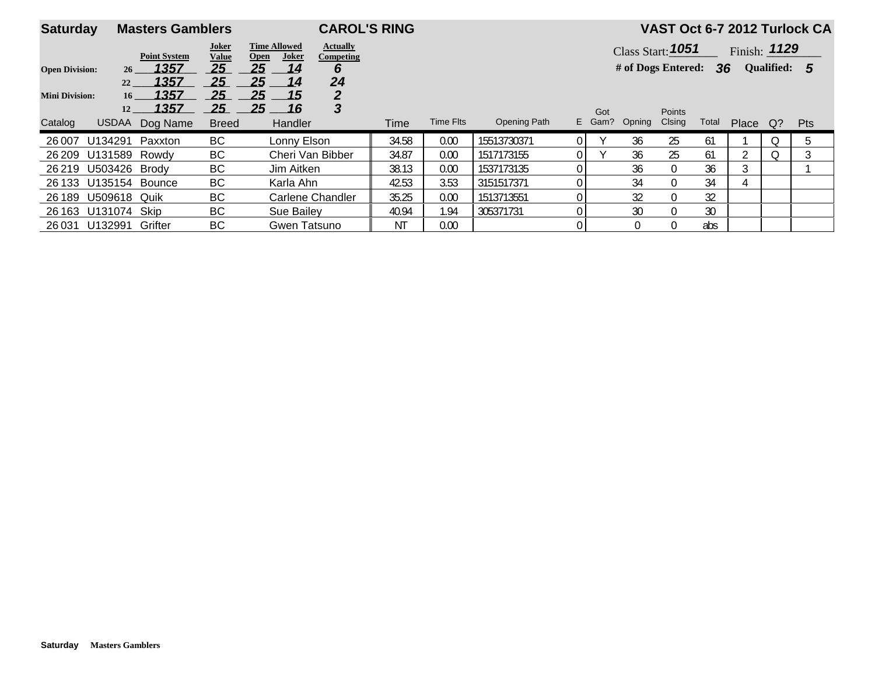|                                              | <b>Masters Gamblers</b><br><b>Saturday</b> |                       |                                                                                           | <b>CAROL'S RING</b>  |                     |       |                  |                     | VAST Oct 6-7 2012 Turlock CA                                              |        |             |               |       |       |       |            |  |
|----------------------------------------------|--------------------------------------------|-----------------------|-------------------------------------------------------------------------------------------|----------------------|---------------------|-------|------------------|---------------------|---------------------------------------------------------------------------|--------|-------------|---------------|-------|-------|-------|------------|--|
| Joker<br><b>Value</b><br><b>Point System</b> |                                            |                       | <b>Time Allowed</b><br><b>Actually</b><br><b>Joker</b><br><b>Open</b><br><b>Competing</b> |                      |                     |       |                  |                     | Class Start: 1051<br>Finish: $1129$<br>Qualified: 5<br># of Dogs Entered: |        |             |               |       |       |       |            |  |
| <b>Open Division:</b><br>26<br>22            |                                            | 1357<br>1357          | 25<br>25                                                                                  | 25<br>14<br>25<br>14 | 6<br>24             |       |                  |                     |                                                                           |        |             |               | 36    |       |       |            |  |
| <b>Mini Division:</b>                        | 16 <sup>1</sup><br>12                      | 1357<br><u> 1357 </u> | 25<br>25                                                                                  | 25<br>15<br>25<br>16 | $\overline{2}$<br>3 |       |                  |                     |                                                                           | Got    |             | <b>Points</b> |       |       |       |            |  |
| Catalog                                      | <b>USDAA</b>                               | Dog Name              | <b>Breed</b>                                                                              | Handler              |                     | Time  | <b>Time Flts</b> | <b>Opening Path</b> |                                                                           | E Gam? | Opning      | Clsing        | Total | Place | $Q$ ? | <b>Pts</b> |  |
| 26 007                                       | U134291                                    | Paxxton               | BC                                                                                        | Lonny Elson          |                     | 34.58 | 0.00             | 15513730371         | 0 I                                                                       |        | 36          | 25            | 61    |       | Ο     | 5          |  |
|                                              | 26 209 U131589                             | Rowdv                 | BC                                                                                        |                      | Cheri Van Bibber    | 34.87 | 0.00             | 1517173155          | 0 I                                                                       |        | 36          | 25            | 61    |       | 0     |            |  |
|                                              | 26 219 U503426 Brody                       |                       | BC                                                                                        | Jim Aitken           |                     | 38.13 | 0.00             | 1537173135          |                                                                           |        | 36          | $\Omega$      | 36    | 3     |       |            |  |
|                                              | 26 133 U135154 Bounce                      |                       | BC                                                                                        | Karla Ahn            |                     | 42.53 | 3.53             | 3151517371          | 0                                                                         |        | 34          | $\Omega$      | 34    | 4     |       |            |  |
| 26 189                                       | U509618 Quik                               |                       | BC                                                                                        |                      | Carlene Chandler    | 35.25 | 0.00             | 1513713551          | 0                                                                         |        | 32          | $\Omega$      | 32    |       |       |            |  |
|                                              | 26 163 U131074 Skip                        |                       | BC                                                                                        | Sue Bailey           |                     | 40.94 | 1.94             | 305371731           |                                                                           |        | 30          | $\Omega$      | 30    |       |       |            |  |
|                                              | 26 031 U132991 Grifter                     |                       | BC                                                                                        | Gwen Tatsuno         |                     | ΝT    | 0.00             |                     |                                                                           |        | $\mathbf 0$ | $\Omega$      | abs   |       |       |            |  |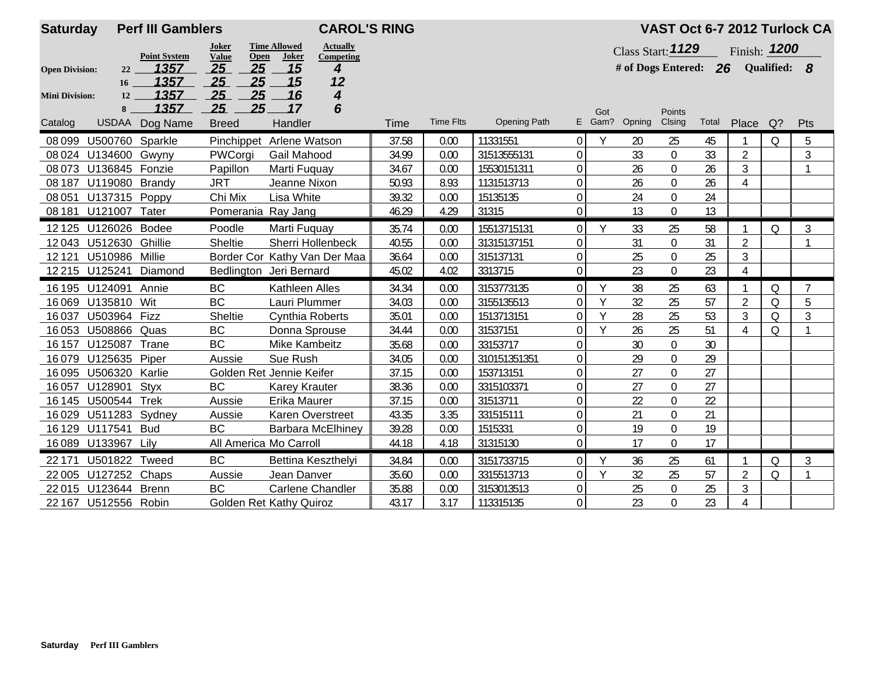| <b>Saturday</b>       |                                                                                                                      | <b>CAROL'S RING</b><br><b>Perf III Gamblers</b> |                                |                         |                          |       | VAST Oct 6-7 2012 Turlock CA |                     |                  |        |                         |                  |       |                |              |                |  |
|-----------------------|----------------------------------------------------------------------------------------------------------------------|-------------------------------------------------|--------------------------------|-------------------------|--------------------------|-------|------------------------------|---------------------|------------------|--------|-------------------------|------------------|-------|----------------|--------------|----------------|--|
|                       | <b>Time Allowed</b><br><b>Actually</b><br>Joker<br>Value<br><b>Point System</b><br><b>Open</b><br>Joker<br>Competing |                                                 |                                |                         |                          |       |                              |                     |                  |        | Class Start: 1129       |                  |       | Finish: 1200   |              |                |  |
| <b>Open Division:</b> | 22                                                                                                                   | 1357                                            | 25<br>25                       | 15                      | 4                        |       |                              |                     |                  |        | # of Dogs Entered: $26$ |                  |       |                | Qualified: 8 |                |  |
|                       | 16                                                                                                                   | 1357                                            | 25<br>25                       | 15                      | 12                       |       |                              |                     |                  |        |                         |                  |       |                |              |                |  |
| <b>Mini Division:</b> | 12                                                                                                                   | 1357                                            | 25<br>25                       | 16                      | $\overline{\mathbf{4}}$  |       |                              |                     |                  |        |                         |                  |       |                |              |                |  |
|                       | 8                                                                                                                    | 1357                                            | 25<br>25 <sub>1</sub>          | 17                      | 6                        |       |                              |                     |                  | Got    |                         | Points           |       |                |              |                |  |
| Catalog               | <b>USDAA</b>                                                                                                         | Dog Name                                        | <b>Breed</b>                   | Handler                 |                          | Time  | <b>Time Flts</b>             | <b>Opening Path</b> |                  | E Gam? | Opning                  | Clsing           | Total | Place          | $Q$ ?        | Pts            |  |
| 08 099                | U500760 Sparkle                                                                                                      |                                                 | Pinchippet Arlene Watson       |                         |                          | 37.58 | 0.00                         | 11331551            | $\Omega$         | Y      | 20                      | 25               | 45    | $\mathbf{1}$   | 0            | 5              |  |
|                       | 08 024 U134600 Gwyny                                                                                                 |                                                 | PWCorgi                        | Gail Mahood             |                          | 34.99 | 0.00                         | 31513555131         | $\overline{0}$   |        | 33                      | $\mathbf 0$      | 33    | $\overline{2}$ |              | $\mathfrak{Z}$ |  |
|                       | 08 073 U136845 Fonzie                                                                                                |                                                 | Papillon                       | Marti Fuguay            |                          | 34.67 | 0.00                         | 15530151311         | $\overline{0}$   |        | 26                      | $\mathbf 0$      | 26    | $\mathfrak{Z}$ |              | $\mathbf{1}$   |  |
|                       | 08 187 U119080 Brandy                                                                                                |                                                 | <b>JRT</b>                     | Jeanne Nixon            |                          | 50.93 | 8.93                         | 1131513713          | $\overline{0}$   |        | 26                      | $\mathbf 0$      | 26    | $\overline{4}$ |              |                |  |
| 08 051                | U137315 Poppy                                                                                                        |                                                 | Chi Mix<br>Lisa White          |                         | 39.32                    | 0.00  | 15135135                     | $\overline{0}$      |                  | 24     | $\mathbf 0$             | 24               |       |                |              |                |  |
|                       | 08 181 U121007 Tater                                                                                                 |                                                 | Pomerania Ray Jang             |                         |                          | 46.29 | 4.29                         | 31315               | $\overline{0}$   |        | 13                      | $\mathbf 0$      | 13    |                |              |                |  |
|                       | 12 125 U126026 Bodee                                                                                                 |                                                 | Poodle                         | Marti Fuguay            |                          | 35.74 | 0.00                         | 15513715131         | 0                | Y      | 33                      | 25               | 58    | 1              | Q            | 3              |  |
| 12043                 | U512630                                                                                                              | Ghillie                                         | <b>Sheltie</b>                 | Sherri Hollenbeck       |                          | 40.55 | 0.00                         | 31315137151         | $\Omega$         |        | 31                      | $\mathbf 0$      | 31    | $\overline{2}$ |              | $\mathbf{1}$   |  |
| 12121                 | U510986                                                                                                              | Millie                                          | Border Cor Kathy Van Der Maa   |                         |                          | 36.64 | 0.00                         | 315137131           | $\boldsymbol{0}$ |        | 25                      | $\boldsymbol{0}$ | 25    | $\mathfrak{Z}$ |              |                |  |
|                       | 12 215 U125241                                                                                                       | Diamond                                         | Bedlington Jeri Bernard        |                         |                          | 45.02 | 4.02                         | 3313715             | $\overline{0}$   |        | 23                      | $\mathbf 0$      | 23    | $\overline{4}$ |              |                |  |
|                       | 16 195 U124091                                                                                                       | Annie                                           | <b>BC</b>                      | Kathleen Alles          |                          | 34.34 | 0.00                         | 3153773135          | $\overline{0}$   | Y      | 38                      | 25               | 63    | $\mathbf{1}$   | Q            | $\overline{7}$ |  |
| 16069                 | U135810 Wit                                                                                                          |                                                 | <b>BC</b>                      | Lauri Plummer           |                          | 34.03 | 0.00                         | 3155135513          | $\Omega$         | Υ      | 32                      | 25               | 57    | $\overline{2}$ | Q            | 5              |  |
| 16037                 | U503964 Fizz                                                                                                         |                                                 | <b>Sheltie</b>                 | Cynthia Roberts         |                          | 35.01 | 0.00                         | 1513713151          | $\overline{0}$   | Y      | 28                      | 25               | 53    | $\mathfrak{Z}$ | Q            | $\mathfrak{Z}$ |  |
| 16053                 | U508866 Quas                                                                                                         |                                                 | <b>BC</b>                      | Donna Sprouse           |                          | 34.44 | 0.00                         | 31537151            | $\overline{0}$   | Y      | 26                      | 25               | 51    | 4              | Q            | $\mathbf{1}$   |  |
| 16 157                | U125087 Trane                                                                                                        |                                                 | <b>BC</b>                      | Mike Kambeitz           |                          | 35.68 | 0.00                         | 33153717            | $\overline{0}$   |        | 30                      | $\boldsymbol{0}$ | 30    |                |              |                |  |
| 16079                 | U125635                                                                                                              | Piper                                           | Aussie                         | Sue Rush                |                          | 34.05 | 0.00                         | 310151351351        | $\overline{0}$   |        | 29                      | $\mathbf 0$      | 29    |                |              |                |  |
| 16095                 | U506320                                                                                                              | Karlie                                          | Golden Ret Jennie Keifer       |                         |                          | 37.15 | 0.00                         | 153713151           | 0                |        | 27                      | $\boldsymbol{0}$ | 27    |                |              |                |  |
| 16057                 | U128901                                                                                                              | Styx                                            | <b>BC</b>                      | <b>Karey Krauter</b>    |                          | 38.36 | 0.00                         | 3315103371          | $\Omega$         |        | 27                      | $\mathbf 0$      | 27    |                |              |                |  |
| 16 145                | U500544                                                                                                              | <b>Trek</b>                                     | Aussie                         | Erika Maurer            |                          | 37.15 | 0.00                         | 31513711            | $\Omega$         |        | 22                      | $\mathbf 0$      | 22    |                |              |                |  |
| 16029                 | U511283 Sydney                                                                                                       |                                                 | Aussie                         | Karen Overstreet        |                          | 43.35 | 3.35                         | 331515111           | 0                |        | 21                      | $\boldsymbol{0}$ | 21    |                |              |                |  |
|                       | 16 129 U117541                                                                                                       | <b>Bud</b>                                      | <b>BC</b>                      |                         | <b>Barbara McElhiney</b> | 39.28 | 0.00                         | 1515331             | $\overline{0}$   |        | 19                      | $\mathbf 0$      | 19    |                |              |                |  |
|                       | 16 089 U133967 Lily                                                                                                  |                                                 | All America Mo Carroll         |                         |                          | 44.18 | 4.18                         | 31315130            | $\overline{0}$   |        | 17                      | $\mathbf 0$      | 17    |                |              |                |  |
| 22 17 1               | U501822 Tweed                                                                                                        |                                                 | <b>BC</b>                      | Bettina Keszthelyi      |                          | 34.84 | 0.00                         | 3151733715          | $\overline{0}$   | Υ      | 36                      | 25               | 61    | $\mathbf 1$    | Q            | $\mathfrak{Z}$ |  |
| 22005                 | U127252 Chaps                                                                                                        |                                                 | Aussie                         | Jean Danver             |                          | 35.60 | 0.00                         | 3315513713          | $\overline{0}$   | Y      | 32                      | 25               | 57    | $\overline{2}$ | Q            | $\mathbf{1}$   |  |
|                       | 22015 U123644                                                                                                        | <b>Brenn</b>                                    | <b>BC</b>                      | <b>Carlene Chandler</b> |                          | 35.88 | 0.00                         | 3153013513          | $\mathbf 0$      |        | 25                      | $\boldsymbol{0}$ | 25    | $\mathfrak{Z}$ |              |                |  |
|                       | 22 167 U512556 Robin                                                                                                 |                                                 | <b>Golden Ret Kathy Quiroz</b> |                         |                          | 43.17 | 3.17                         | 113315135           | $\overline{0}$   |        | 23                      | $\mathbf 0$      | 23    | 4              |              |                |  |